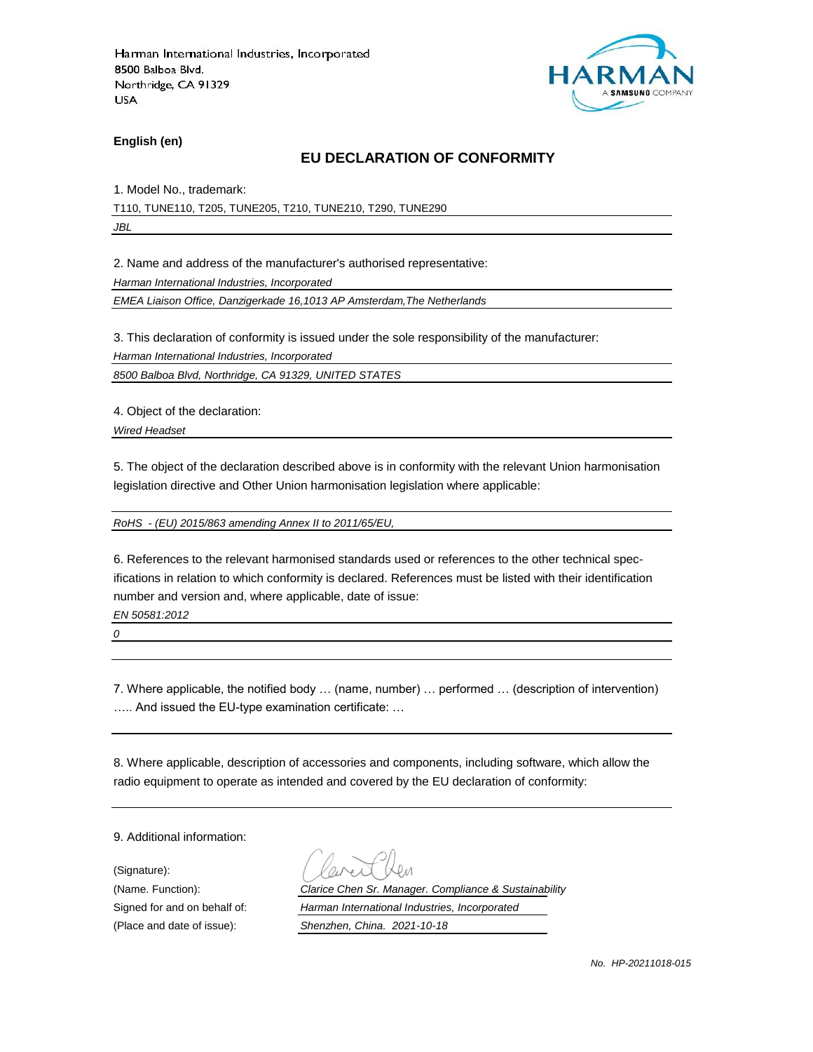

**English (en)**

#### **EU DECLARATION OF CONFORMITY**

1. Model No., trademark:

T110, TUNE110, T205, TUNE205, T210, TUNE210, T290, TUNE290

*JBL*

2. Name and address of the manufacturer's authorised representative:

*Harman International Industries, Incorporated*

*EMEA Liaison Office, Danzigerkade 16,1013 AP Amsterdam,The Netherlands*

3. This declaration of conformity is issued under the sole responsibility of the manufacturer:

*Harman International Industries, Incorporated*

*8500 Balboa Blvd, Northridge, CA 91329, UNITED STATES*

4. Object of the declaration:

*Wired Headset*

5. The object of the declaration described above is in conformity with the relevant Union harmonisation legislation directive and Other Union harmonisation legislation where applicable:

*RoHS - (EU) 2015/863 amending Annex II to 2011/65/EU,*

6. References to the relevant harmonised standards used or references to the other technical specifications in relation to which conformity is declared. References must be listed with their identification number and version and, where applicable, date of issue:

*EN 50581:2012*

*0*

7. Where applicable, the notified body … (name, number) … performed … (description of intervention) ….. And issued the EU-type examination certificate: …

8. Where applicable, description of accessories and components, including software, which allow the radio equipment to operate as intended and covered by the EU declaration of conformity:

9. Additional information:

(Signature): (Place and date of issue): *Shenzhen, China. 2021-10-18*

(Name. Function): *Clarice Chen Sr. Manager. Compliance & Sustainability* Signed for and on behalf of: *Harman International Industries, Incorporated*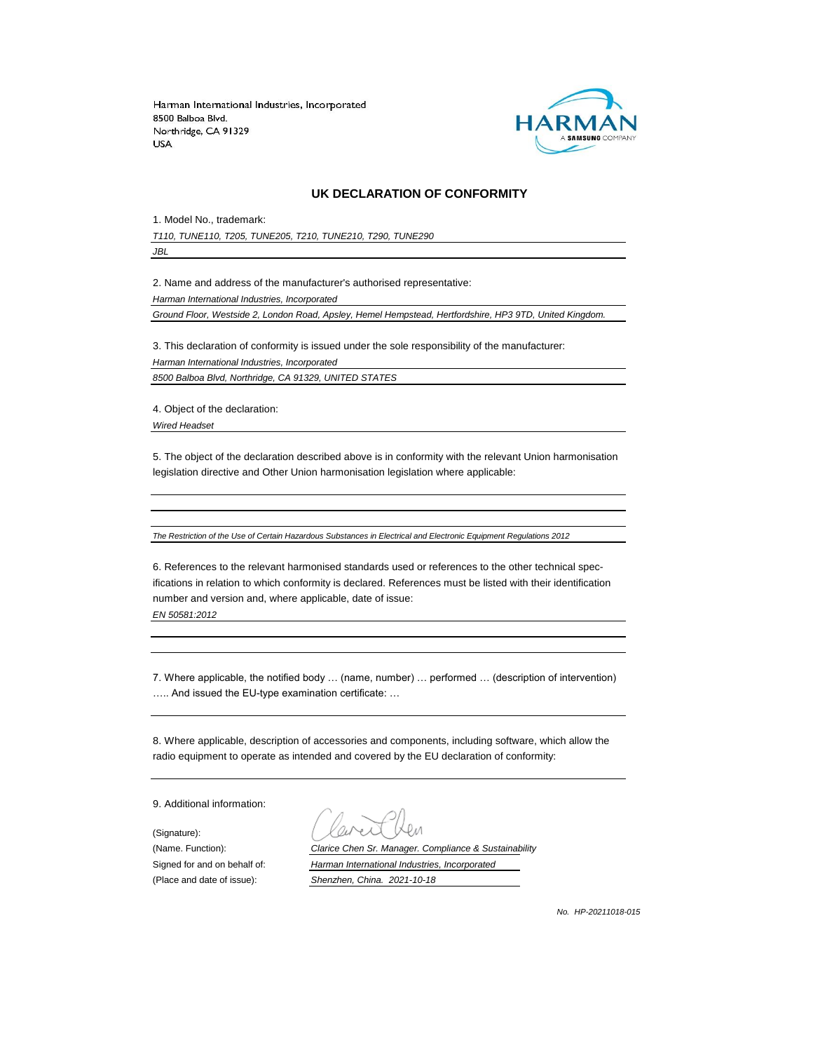

#### **UK DECLARATION OF CONFORMITY**

1. Model No., trademark:

*T110, TUNE110, T205, TUNE205, T210, TUNE210, T290, TUNE290*

*JBL*

2. Name and address of the manufacturer's authorised representative:

*Harman International Industries, Incorporated*

*Ground Floor, Westside 2, London Road, Apsley, Hemel Hempstead, Hertfordshire, HP3 9TD, United Kingdom.*

3. This declaration of conformity is issued under the sole responsibility of the manufacturer: *Harman International Industries, Incorporated 8500 Balboa Blvd, Northridge, CA 91329, UNITED STATES*

4. Object of the declaration:

*Wired Headset*

5. The object of the declaration described above is in conformity with the relevant Union harmonisation legislation directive and Other Union harmonisation legislation where applicable:

*The Restriction of the Use of Certain Hazardous Substances in Electrical and Electronic Equipment Regulations 2012*

6. References to the relevant harmonised standards used or references to the other technical specifications in relation to which conformity is declared. References must be listed with their identification number and version and, where applicable, date of issue:

*EN 50581:2012*

7. Where applicable, the notified body … (name, number) … performed … (description of intervention) ….. And issued the EU-type examination certificate: …

8. Where applicable, description of accessories and components, including software, which allow the radio equipment to operate as intended and covered by the EU declaration of conformity:

9. Additional information:

(Signature):

(Name. Function): *Clarice Chen Sr. Manager. Compliance & Sustainability* Signed for and on behalf of: *Harman International Industries, Incorporated* (Place and date of issue): *Shenzhen, China. 2021-10-18*

*No. HP-20211018-015*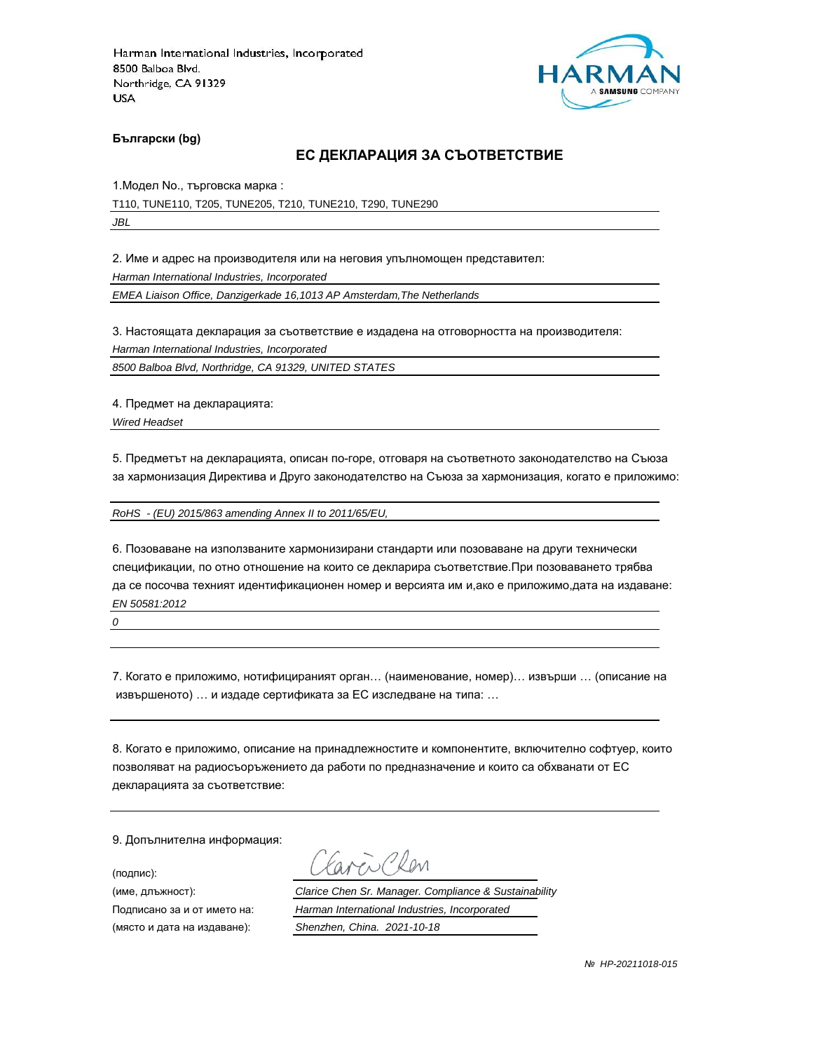

**Български (bg)**

#### **ЕС ДЕКЛАРАЦИЯ ЗА СЪОТВЕТСТВИЕ**

1.Модел No., търговска марка :

T110, TUNE110, T205, TUNE205, T210, TUNE210, T290, TUNE290 *JBL*

2. Име и адрес на производителя или на неговия упълномощен представител:

*Harman International Industries, Incorporated*

*EMEA Liaison Office, Danzigerkade 16,1013 AP Amsterdam,The Netherlands*

3. Настоящата декларация за съответствие е издадена на отговорността на производителя:

*Harman International Industries, Incorporated*

*8500 Balboa Blvd, Northridge, CA 91329, UNITED STATES*

4. Предмет на декларацията:

*Wired Headset*

5. Предметът на декларацията, описан по-горе, отговаря на съответното законодателство на Съюза за хармонизация Директива и Друго законодателство на Съюза за хармонизация, когато е приложимо:

*RoHS - (EU) 2015/863 amending Annex II to 2011/65/EU,*

6. Позоваване на използваните хармонизирани стандарти или позоваване на други технически спецификации, по отно отношение на които се декларира съответствие.При позоваването трябва да се посочва техният идентификационен номер и версията им и,ако е приложимо,дата на издаване: *EN 50581:2012*

*0*

7. Когато е приложимо, нотифицираният орган… (наименование, номер)… извърши … (описание на извършеното) … и издаде сертификата за ЕС изследване на типа: …

8. Когато е приложимо, описание на принадлежностите и компонентите, включително софтуер, които позволяват на радиосъоръжението да работи по предназначение и които са обхванати от ЕС декларацията за съответствие:

9. Допълнителна информация:

(подпис):

(място и дата на издаване): *Shenzhen, China. 2021-10-18*

aven Clen

(име, длъжност): *Clarice Chen Sr. Manager. Compliance & Sustainability*

Подписано за и от името на: *Harman International Industries, Incorporated*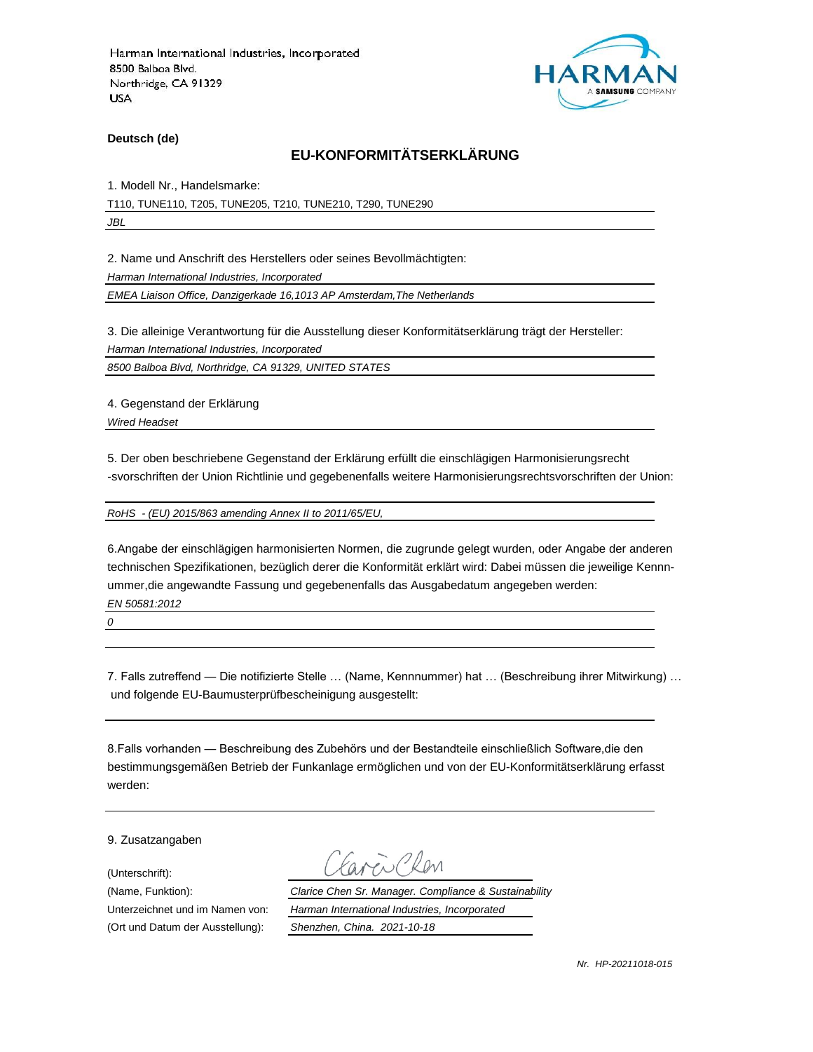

**Deutsch (de)**

# **EU-KONFORMITÄTSERKLÄRUNG**

1. Modell Nr., Handelsmarke:

T110, TUNE110, T205, TUNE205, T210, TUNE210, T290, TUNE290 *JBL*

2. Name und Anschrift des Herstellers oder seines Bevollmächtigten:

*Harman International Industries, Incorporated*

*EMEA Liaison Office, Danzigerkade 16,1013 AP Amsterdam,The Netherlands*

3. Die alleinige Verantwortung für die Ausstellung dieser Konformitätserklärung trägt der Hersteller:

*Harman International Industries, Incorporated*

*8500 Balboa Blvd, Northridge, CA 91329, UNITED STATES*

4. Gegenstand der Erklärung

*Wired Headset*

5. Der oben beschriebene Gegenstand der Erklärung erfüllt die einschlägigen Harmonisierungsrecht -svorschriften der Union Richtlinie und gegebenenfalls weitere Harmonisierungsrechtsvorschriften der Union:

*RoHS - (EU) 2015/863 amending Annex II to 2011/65/EU,*

6.Angabe der einschlägigen harmonisierten Normen, die zugrunde gelegt wurden, oder Angabe der anderen technischen Spezifikationen, bezüglich derer die Konformität erklärt wird: Dabei müssen die jeweilige Kennnummer,die angewandte Fassung und gegebenenfalls das Ausgabedatum angegeben werden: *EN 50581:2012*

*0*

7. Falls zutreffend — Die notifizierte Stelle … (Name, Kennnummer) hat … (Beschreibung ihrer Mitwirkung) … und folgende EU-Baumusterprüfbescheinigung ausgestellt:

8.Falls vorhanden — Beschreibung des Zubehörs und der Bestandteile einschließlich Software,die den bestimmungsgemäßen Betrieb der Funkanlage ermöglichen und von der EU-Konformitätserklärung erfasst werden:

9. Zusatzangaben

(Unterschrift):

(Name, Funktion): *Clarice Chen Sr. Manager. Compliance & Sustainability* Unterzeichnet und im Namen von: *Harman International Industries, Incorporated* (Ort und Datum der Ausstellung): *Shenzhen, China. 2021-10-18*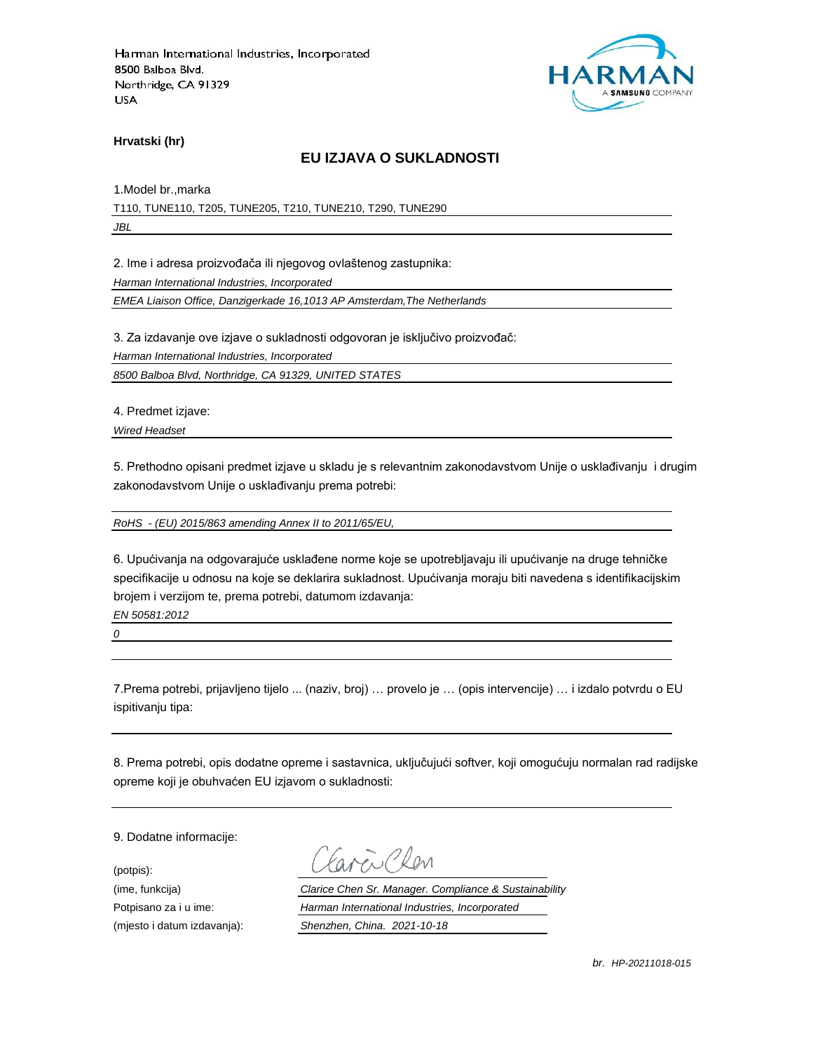

**Hrvatski (hr)**

### **EU IZJAVA O SUKLADNOSTI**

1.Model br.,marka T110, TUNE110, T205, TUNE205, T210, TUNE210, T290, TUNE290 *JBL*

2. Ime i adresa proizvođača ili njegovog ovlaštenog zastupnika:

*Harman International Industries, Incorporated*

*EMEA Liaison Office, Danzigerkade 16,1013 AP Amsterdam,The Netherlands*

3. Za izdavanje ove izjave o sukladnosti odgovoran je isključivo proizvođač:

*Harman International Industries, Incorporated*

*8500 Balboa Blvd, Northridge, CA 91329, UNITED STATES*

4. Predmet izjave:

*Wired Headset*

5. Prethodno opisani predmet izjave u skladu je s relevantnim zakonodavstvom Unije o usklađivanju i drugim zakonodavstvom Unije o usklađivanju prema potrebi:

*RoHS - (EU) 2015/863 amending Annex II to 2011/65/EU,*

6. Upućivanja na odgovarajuće usklađene norme koje se upotrebljavaju ili upućivanje na druge tehničke specifikacije u odnosu na koje se deklarira sukladnost. Upućivanja moraju biti navedena s identifikacijskim brojem i verzijom te, prema potrebi, datumom izdavanja:

*EN 50581:2012*

*0*

7.Prema potrebi, prijavljeno tijelo ... (naziv, broj) … provelo je … (opis intervencije) … i izdalo potvrdu o EU ispitivanju tipa:

8. Prema potrebi, opis dodatne opreme i sastavnica, uključujući softver, koji omogućuju normalan rad radijske opreme koji je obuhvaćen EU izjavom o sukladnosti:

9. Dodatne informacije:

(potpis):

(ime, funkcija) *Clarice Chen Sr. Manager. Compliance & Sustainability* Potpisano za i u ime: *Harman International Industries, Incorporated* (mjesto i datum izdavanja): *Shenzhen, China. 2021-10-18*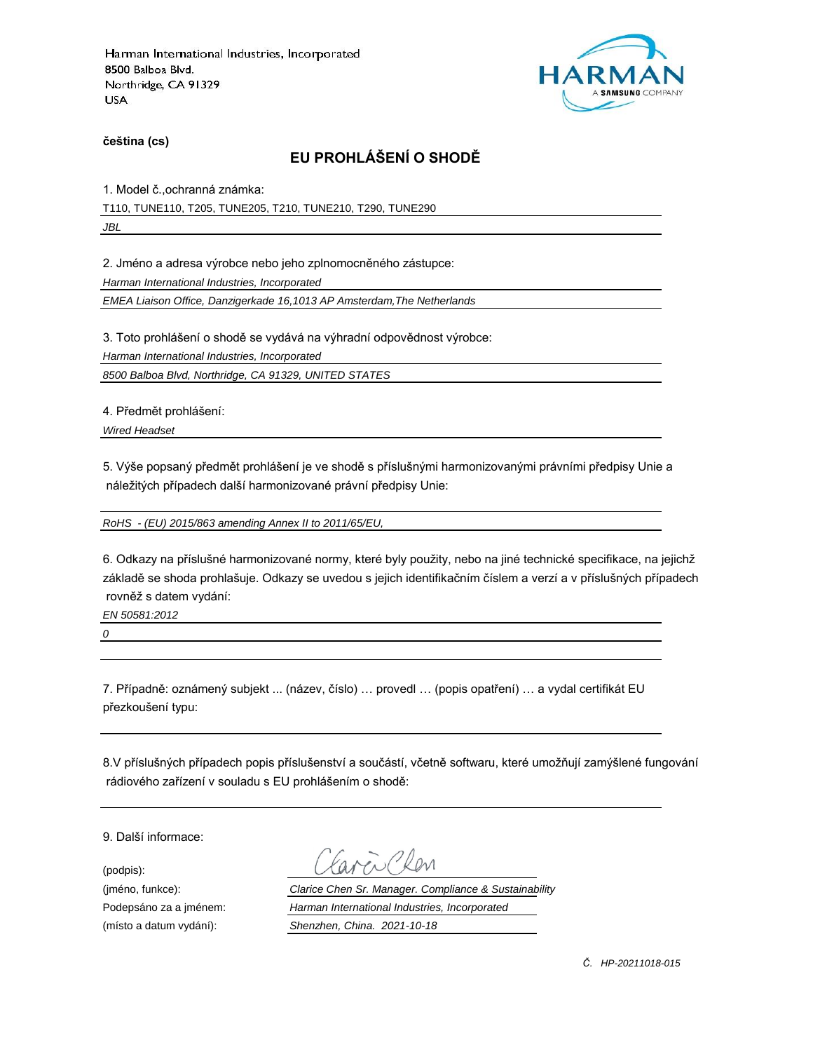

**čeština (cs)**

# **EU PROHLÁŠENÍ O SHODĚ**

1. Model č.,ochranná známka:

T110, TUNE110, T205, TUNE205, T210, TUNE210, T290, TUNE290

*JBL*

2. Jméno a adresa výrobce nebo jeho zplnomocněného zástupce:

*Harman International Industries, Incorporated*

*EMEA Liaison Office, Danzigerkade 16,1013 AP Amsterdam,The Netherlands*

3. Toto prohlášení o shodě se vydává na výhradní odpovědnost výrobce:

*Harman International Industries, Incorporated*

*8500 Balboa Blvd, Northridge, CA 91329, UNITED STATES*

4. Předmět prohlášení:

*Wired Headset*

5. Výše popsaný předmět prohlášení je ve shodě s příslušnými harmonizovanými právními předpisy Unie a náležitých případech další harmonizované právní předpisy Unie:

*RoHS - (EU) 2015/863 amending Annex II to 2011/65/EU,*

6. Odkazy na příslušné harmonizované normy, které byly použity, nebo na jiné technické specifikace, na jejichž základě se shoda prohlašuje. Odkazy se uvedou s jejich identifikačním číslem a verzí a v příslušných případech rovněž s datem vydání:

*EN 50581:2012*

*0*

7. Případně: oznámený subjekt ... (název, číslo) … provedl … (popis opatření) … a vydal certifikát EU přezkoušení typu:

8.V příslušných případech popis příslušenství a součástí, včetně softwaru, které umožňují zamýšlené fungování rádiového zařízení v souladu s EU prohlášením o shodě:

9. Další informace:

(podpis):

(jméno, funkce): *Clarice Chen Sr. Manager. Compliance & Sustainability* Podepsáno za a jménem: *Harman International Industries, Incorporated* (místo a datum vydání): *Shenzhen, China. 2021-10-18*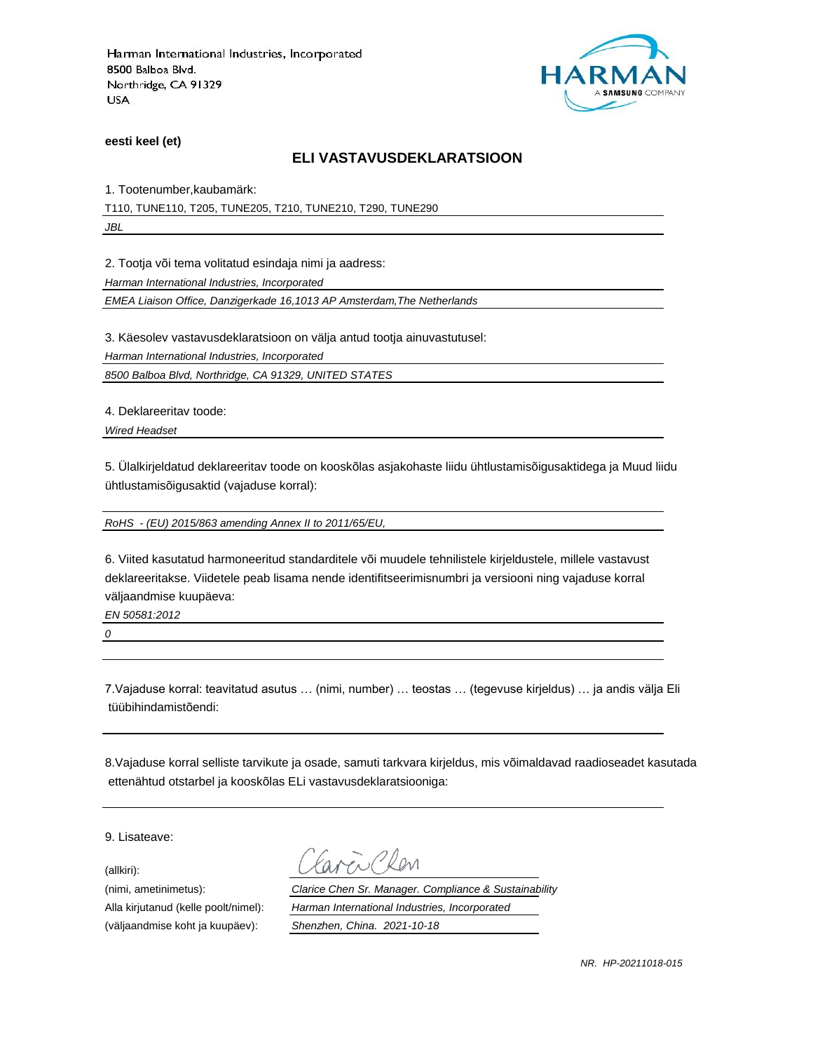

**eesti keel (et)**

#### **ELI VASTAVUSDEKLARATSIOON**

1. Tootenumber,kaubamärk:

T110, TUNE110, T205, TUNE205, T210, TUNE210, T290, TUNE290

*JBL*

2. Tootja või tema volitatud esindaja nimi ja aadress:

*Harman International Industries, Incorporated*

*EMEA Liaison Office, Danzigerkade 16,1013 AP Amsterdam,The Netherlands*

3. Käesolev vastavusdeklaratsioon on välja antud tootja ainuvastutusel:

*Harman International Industries, Incorporated*

*8500 Balboa Blvd, Northridge, CA 91329, UNITED STATES*

4. Deklareeritav toode:

*Wired Headset*

5. Ülalkirjeldatud deklareeritav toode on kooskõlas asjakohaste liidu ühtlustamisõigusaktidega ja Muud liidu ühtlustamisõigusaktid (vajaduse korral):

*RoHS - (EU) 2015/863 amending Annex II to 2011/65/EU,*

6. Viited kasutatud harmoneeritud standarditele või muudele tehnilistele kirjeldustele, millele vastavust deklareeritakse. Viidetele peab lisama nende identifitseerimisnumbri ja versiooni ning vajaduse korral väljaandmise kuupäeva:

*EN 50581:2012*

*0*

7.Vajaduse korral: teavitatud asutus … (nimi, number) … teostas … (tegevuse kirjeldus) … ja andis välja Eli tüübihindamistõendi:

8.Vajaduse korral selliste tarvikute ja osade, samuti tarkvara kirjeldus, mis võimaldavad raadioseadet kasutada ettenähtud otstarbel ja kooskõlas ELi vastavusdeklaratsiooniga:

9. Lisateave:

(allkiri):

(nimi, ametinimetus): *Clarice Chen Sr. Manager. Compliance & Sustainability* Alla kirjutanud (kelle poolt/nimel): *Harman International Industries, Incorporated* (väljaandmise koht ja kuupäev): *Shenzhen, China. 2021-10-18*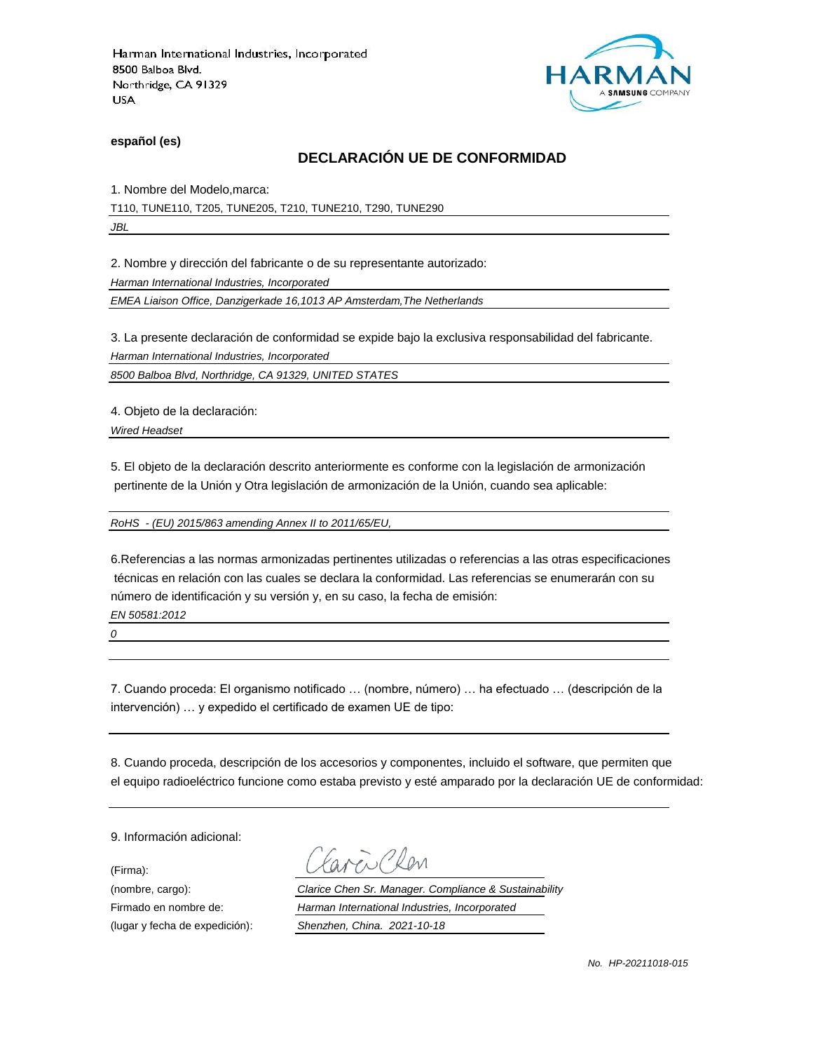

**español (es)**

### **DECLARACIÓN UE DE CONFORMIDAD**

1. Nombre del Modelo,marca:

T110, TUNE110, T205, TUNE205, T210, TUNE210, T290, TUNE290

*JBL*

2. Nombre y dirección del fabricante o de su representante autorizado:

*Harman International Industries, Incorporated*

*EMEA Liaison Office, Danzigerkade 16,1013 AP Amsterdam,The Netherlands*

3. La presente declaración de conformidad se expide bajo la exclusiva responsabilidad del fabricante.

*Harman International Industries, Incorporated*

*8500 Balboa Blvd, Northridge, CA 91329, UNITED STATES*

4. Objeto de la declaración:

*Wired Headset*

5. El objeto de la declaración descrito anteriormente es conforme con la legislación de armonización pertinente de la Unión y Otra legislación de armonización de la Unión, cuando sea aplicable:

*RoHS - (EU) 2015/863 amending Annex II to 2011/65/EU,*

6.Referencias a las normas armonizadas pertinentes utilizadas o referencias a las otras especificaciones técnicas en relación con las cuales se declara la conformidad. Las referencias se enumerarán con su número de identificación y su versión y, en su caso, la fecha de emisión:

*EN 50581:2012*

*0*

7. Cuando proceda: El organismo notificado … (nombre, número) … ha efectuado … (descripción de la intervención) … y expedido el certificado de examen UE de tipo:

8. Cuando proceda, descripción de los accesorios y componentes, incluido el software, que permiten que el equipo radioeléctrico funcione como estaba previsto y esté amparado por la declaración UE de conformidad:

9. Información adicional:

(Firma):

Plan

(nombre, cargo): *Clarice Chen Sr. Manager. Compliance & Sustainability* Firmado en nombre de: *Harman International Industries, Incorporated* (lugar y fecha de expedición): *Shenzhen, China. 2021-10-18*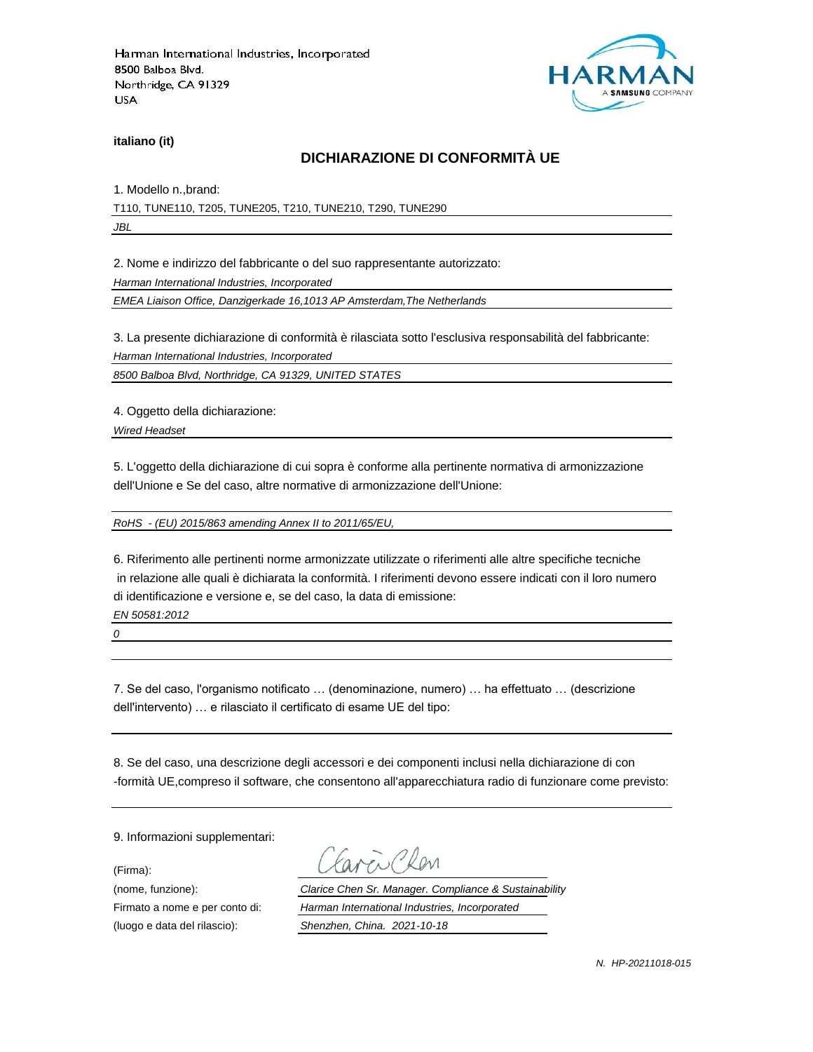

**italiano (it)**

# **DICHIARAZIONE DI CONFORMITÀ UE**

1. Modello n.,brand:

T110, TUNE110, T205, TUNE205, T210, TUNE210, T290, TUNE290

*JBL*

2. Nome e indirizzo del fabbricante o del suo rappresentante autorizzato:

*Harman International Industries, Incorporated*

*EMEA Liaison Office, Danzigerkade 16,1013 AP Amsterdam,The Netherlands*

3. La presente dichiarazione di conformità è rilasciata sotto l'esclusiva responsabilità del fabbricante:

*Harman International Industries, Incorporated*

*8500 Balboa Blvd, Northridge, CA 91329, UNITED STATES*

4. Oggetto della dichiarazione:

*Wired Headset*

5. L'oggetto della dichiarazione di cui sopra è conforme alla pertinente normativa di armonizzazione dell'Unione e Se del caso, altre normative di armonizzazione dell'Unione:

*RoHS - (EU) 2015/863 amending Annex II to 2011/65/EU,*

6. Riferimento alle pertinenti norme armonizzate utilizzate o riferimenti alle altre specifiche tecniche in relazione alle quali è dichiarata la conformità. I riferimenti devono essere indicati con il loro numero di identificazione e versione e, se del caso, la data di emissione:

*EN 50581:2012*

*0*

7. Se del caso, l'organismo notificato … (denominazione, numero) … ha effettuato … (descrizione dell'intervento) … e rilasciato il certificato di esame UE del tipo:

8. Se del caso, una descrizione degli accessori e dei componenti inclusi nella dichiarazione di con -formità UE,compreso il software, che consentono all'apparecchiatura radio di funzionare come previsto:

9. Informazioni supplementari:

(Firma):

i Plan

(nome, funzione): *Clarice Chen Sr. Manager. Compliance & Sustainability* Firmato a nome e per conto di: *Harman International Industries, Incorporated* (luogo e data del rilascio): *Shenzhen, China. 2021-10-18*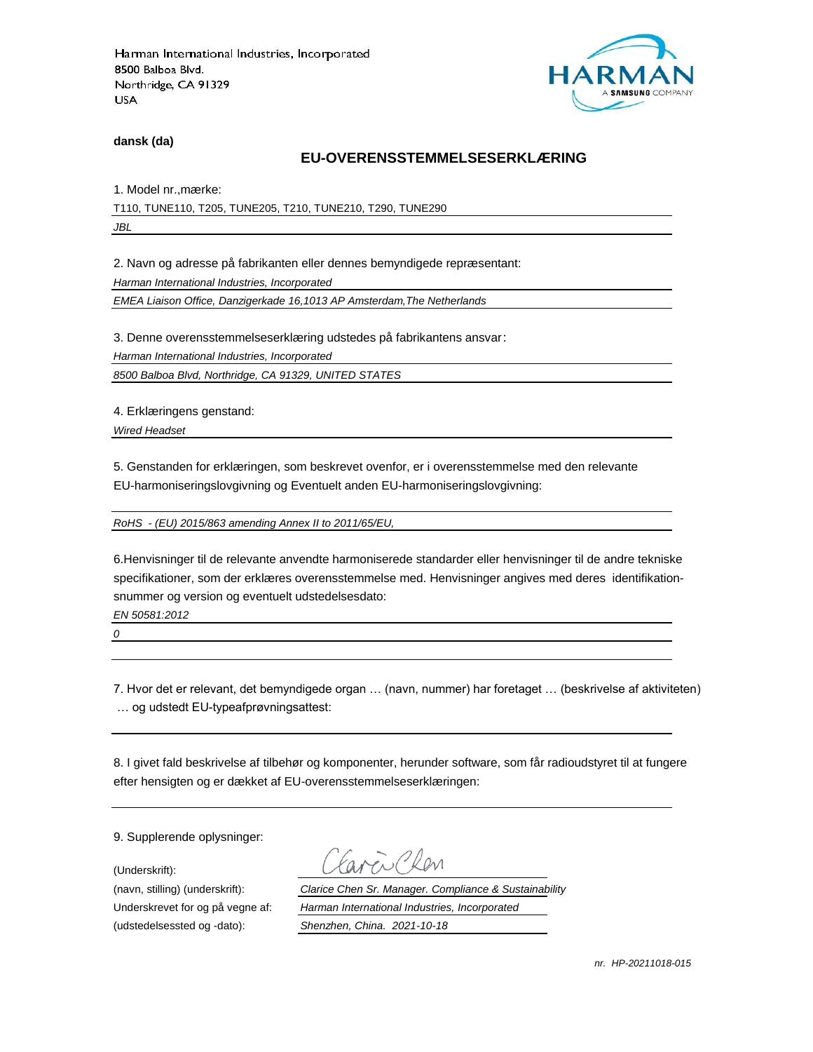

**dansk (da)**

#### **EU-OVERENSSTEMMELSESERKLÆ RING**

1. Model nr., mærke:

T110, TUNE110, T205, TUNE205, T210, TUNE210, T290, TUNE290

*JBL*

2. Navn og adresse på fabrikanten eller dennes bemyndigede repræ sentant:

*Harman International Industries, Incorporated*

*EMEA Liaison Office, Danzigerkade 16,1013 AP Amsterdam,The Netherlands*

3. Denne overensstemmelseserklæring udstedes på fabrikantens ansvar:

*Harman International Industries, Incorporated*

*8500 Balboa Blvd, Northridge, CA 91329, UNITED STATES*

4. Erklæringens genstand:

*Wired Headset*

5. Genstanden for erklæringen, som beskrevet ovenfor, er i overensstemmelse med den relevante EU-harmoniseringslovgivning og Eventuelt anden EU-harmoniseringslovgivning:

*RoHS - (EU) 2015/863 amending Annex II to 2011/65/EU,*

6.Henvisninger til de relevante anvendte harmoniserede standarder eller henvisninger til de andre tekniske specifikationer, som der erklæres overensstemmelse med. Henvisninger angives med deres identifikationsnummer og version og eventuelt udstedelsesdato:

*EN 50581:2012*

*0*

7. Hvor det er relevant, det bemyndigede organ … (navn, nummer) har foretaget … (beskrivelse af aktiviteten) … og udstedt EU-typeafprøvningsattest:

8. I givet fald beskrivelse af tilbehør og komponenter, herunder software, som får radioudstyret til at fungere efter hensigten og er dækket af EU-overensstemmelseserklæringen:

9. Supplerende oplysninger:

(Underskrift):

(udstedelsessted og -dato): *Shenzhen, China. 2021-10-18*

(navn, stilling) (underskrift): *Clarice Chen Sr. Manager. Compliance & Sustainability* Underskrevet for og på vegne af: *Harman International Industries, Incorporated*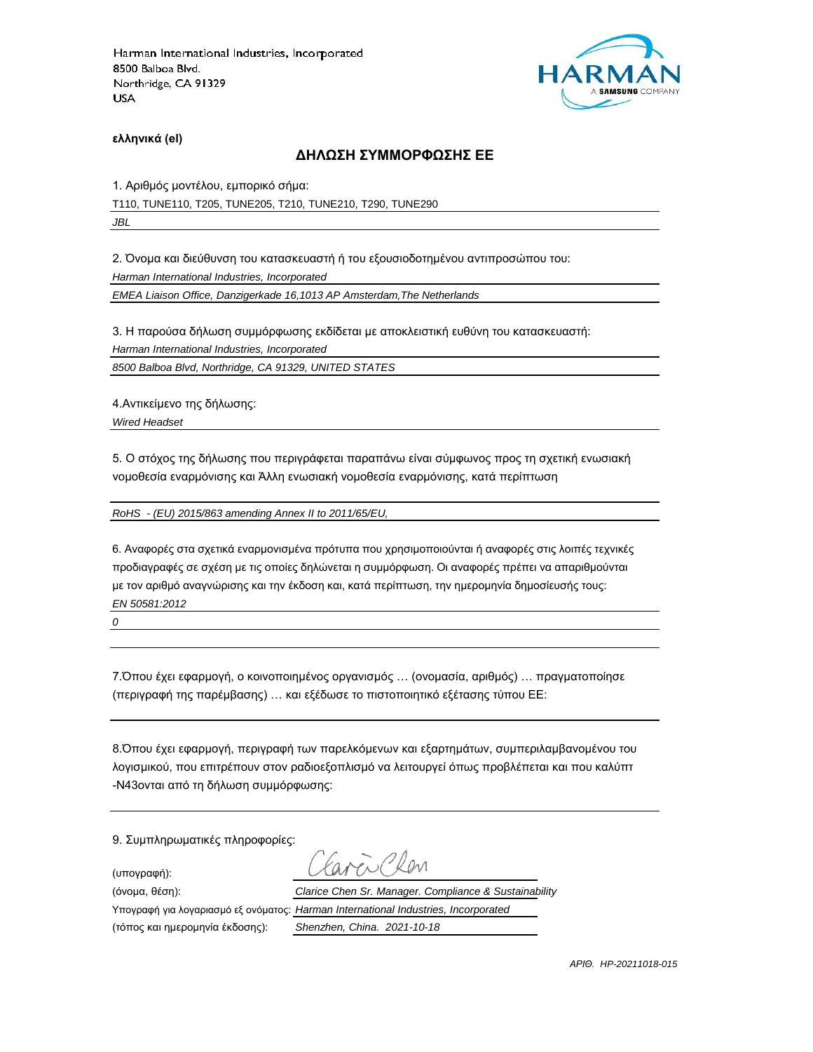

**ελληνικά (el)**

#### **ΔΗΛΩΣΗ ΣΥΜΜΟΡΦΩΣΗΣ ΕΕ**

1. Αριθμός μοντέλου, εμπορικό σήμα:

T110, TUNE110, T205, TUNE205, T210, TUNE210, T290, TUNE290

*JBL*

2. Όνομα και διεύθυνση του κατασκευαστή ή του εξουσιοδοτημένου αντιπροσώπου του:

*Harman International Industries, Incorporated*

*EMEA Liaison Office, Danzigerkade 16,1013 AP Amsterdam,The Netherlands*

3. Η παρούσα δήλωση συμμόρφωσης εκδίδεται με αποκλειστική ευθύνη του κατασκευαστή:

*Harman International Industries, Incorporated*

*8500 Balboa Blvd, Northridge, CA 91329, UNITED STATES*

4.Αντικείμενο της δήλωσης:

*Wired Headset*

5. Ο στόχος της δήλωσης που περιγράφεται παραπάνω είναι σύμφωνος προς τη σχετική ενωσιακή νομοθεσία εναρμόνισης και Άλλη ενωσιακή νομοθεσία εναρμόνισης, κατά περίπτωση

*RoHS - (EU) 2015/863 amending Annex II to 2011/65/EU,*

6. Αναφορές στα σχετικά εναρμονισμένα πρότυπα που χρησιμοποιούνται ή αναφορές στις λοιπές τεχνικές προδιαγραφές σε σχέση με τις οποίες δηλώνεται η συμμόρφωση. Οι αναφορές πρέπει να απαριθμούνται με τον αριθμό αναγνώρισης και την έκδοση και, κατά περίπτωση, την ημερομηνία δημοσίευσής τους: *EN 50581:2012*

*0*

7.Όπου έχει εφαρμογή, ο κοινοποιημένος οργανισμός … (ονομασία, αριθμός) … πραγματοποίησε (περιγραφή της παρέμβασης) … και εξέδωσε το πιστοποιητικό εξέτασης τύπου ΕΕ:

8.Όπου έχει εφαρμογή, περιγραφή των παρελκόμενων και εξαρτημάτων, συμπεριλαμβανομένου του λογισμικού, που επιτρέπουν στον ραδιοεξοπλισμό να λειτουργεί όπως προβλέπεται και που καλύπτ -N43ονται από τη δήλωση συμμόρφωσης:

9. Συμπληρωματικές πληροφορίες:

(υπογραφή):

Millan

(τόπος και ημερομηνία έκδοσης): *Shenzhen, China. 2021-10-18*

(όνομα, θέση): *Clarice Chen Sr. Manager. Compliance & Sustainability* Υπογραφή για λογαριασμό εξ ονόματος: *Harman International Industries, Incorporated*

*ΑΡΙΘ. HP-20211018-015*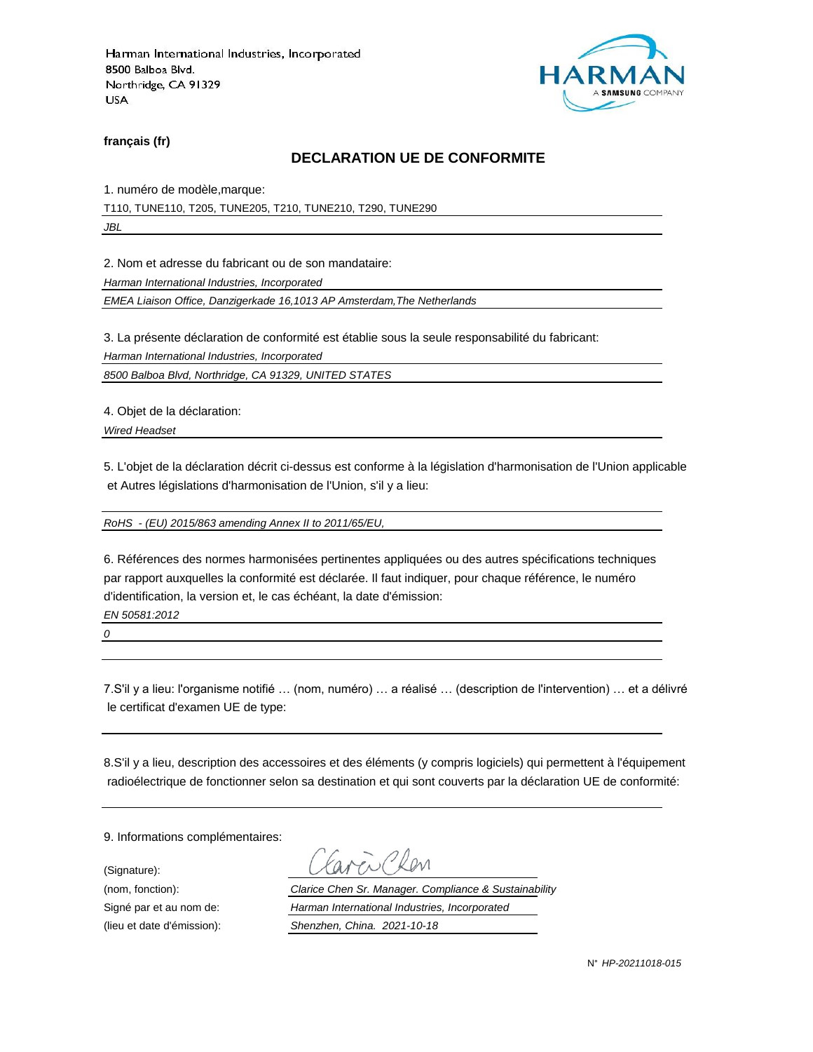

**français (fr)**

#### **DECLARATION UE DE CONFORMITE**

1. numéro de modèle,marque:

T110, TUNE110, T205, TUNE205, T210, TUNE210, T290, TUNE290

*JBL*

2. Nom et adresse du fabricant ou de son mandataire:

*Harman International Industries, Incorporated*

*EMEA Liaison Office, Danzigerkade 16,1013 AP Amsterdam,The Netherlands*

3. La présente déclaration de conformité est établie sous la seule responsabilité du fabricant:

*Harman International Industries, Incorporated*

*8500 Balboa Blvd, Northridge, CA 91329, UNITED STATES*

4. Objet de la déclaration:

*Wired Headset*

5. L'objet de la déclaration décrit ci-dessus est conforme à la législation d'harmonisation de l'Union applicable et Autres législations d'harmonisation de l'Union, s'il y a lieu:

*RoHS - (EU) 2015/863 amending Annex II to 2011/65/EU,*

6. Références des normes harmonisées pertinentes appliquées ou des autres spécifications techniques par rapport auxquelles la conformité est déclarée. Il faut indiquer, pour chaque référence, le numéro d'identification, la version et, le cas échéant, la date d'émission:

*EN 50581:2012*

*0*

7.S'il y a lieu: l'organisme notifié … (nom, numéro) … a réalisé … (description de l'intervention) … et a délivré le certificat d'examen UE de type:

8.S'il y a lieu, description des accessoires et des éléments (y compris logiciels) qui permettent à l'équipement radioélectrique de fonctionner selon sa destination et qui sont couverts par la déclaration UE de conformité:

9. Informations complémentaires:

(Signature):

(nom, fonction): *Clarice Chen Sr. Manager. Compliance & Sustainability* Signé par et au nom de: *Harman International Industries, Incorporated* (lieu et date d'émission): *Shenzhen, China. 2021-10-18*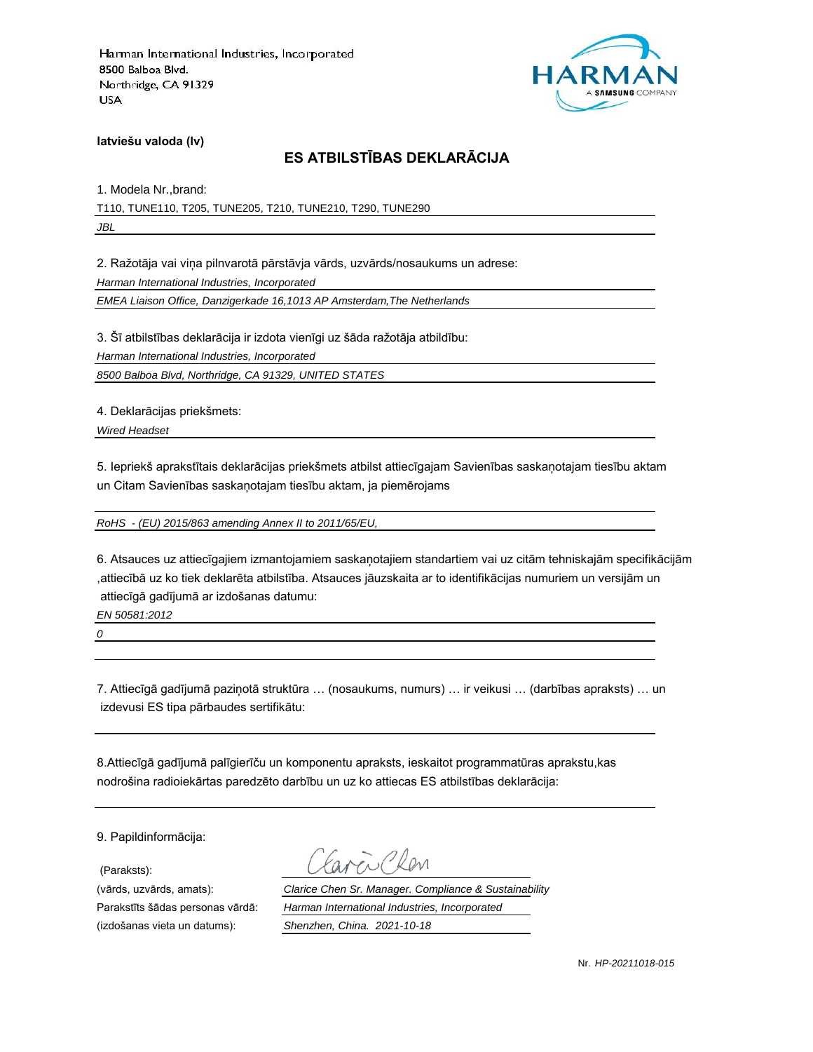

**latviešu valoda (lv)**

# **ES ATBILSTĪBAS DEKLARĀCIJA**

1. Modela Nr.,brand: T110, TUNE110, T205, TUNE205, T210, TUNE210, T290, TUNE290 *JBL*

2. Ražotāja vai viņa pilnvarotā pārstāvja vārds, uzvārds/nosaukums un adrese:

*Harman International Industries, Incorporated*

*EMEA Liaison Office, Danzigerkade 16,1013 AP Amsterdam,The Netherlands*

3. Šī atbilstības deklarācija ir izdota vienīgi uz šāda ražotāja atbildību:

*Harman International Industries, Incorporated*

*8500 Balboa Blvd, Northridge, CA 91329, UNITED STATES*

4. Deklarācijas priekšmets:

*Wired Headset*

5. Iepriekš aprakstītais deklarācijas priekšmets atbilst attiecīgajam Savienības saskaņotajam tiesību aktam un Citam Savienības saskaņotajam tiesību aktam, ja piemērojams

*RoHS - (EU) 2015/863 amending Annex II to 2011/65/EU,*

6. Atsauces uz attiecīgajiem izmantojamiem saskaņotajiem standartiem vai uz citām tehniskajām specifikācijām ,attiecībā uz ko tiek deklarēta atbilstība. Atsauces jāuzskaita ar to identifikācijas numuriem un versijām un attiecīgā gadījumā ar izdošanas datumu:

*EN 50581:2012*

*0*

7. Attiecīgā gadījumā paziņotā struktūra … (nosaukums, numurs) … ir veikusi … (darbības apraksts) … un izdevusi ES tipa pārbaudes sertifikātu:

8.Attiecīgā gadījumā palīgierīču un komponentu apraksts, ieskaitot programmatūras aprakstu,kas nodrošina radioiekārtas paredzēto darbību un uz ko attiecas ES atbilstības deklarācija:

9. Papildinformācija:

(Paraksts):

(vārds, uzvārds, amats): *Clarice Chen Sr. Manager. Compliance & Sustainability* Parakstīts šādas personas vārdā: *Harman International Industries, Incorporated* (izdošanas vieta un datums): *Shenzhen, China. 2021-10-18*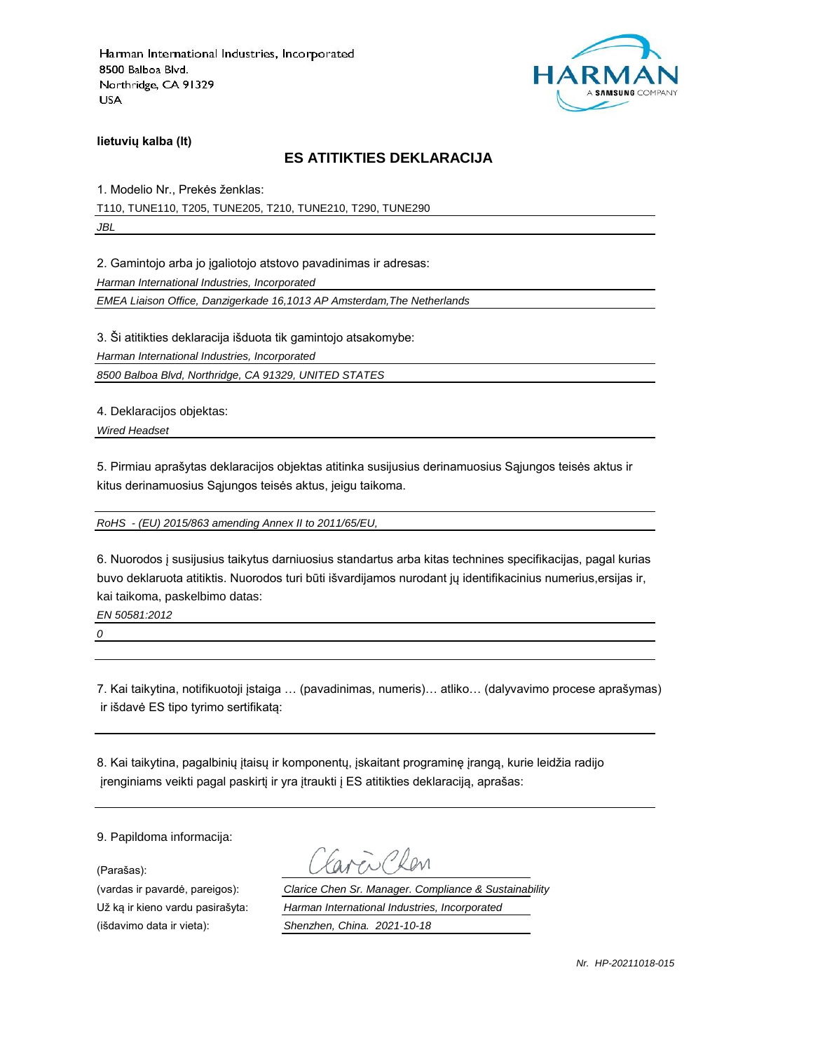

**lietuvių kalba (lt)**

#### **ES ATITIKTIES DEKLARACIJA**

1. Modelio Nr., Prekės ženklas: T110, TUNE110, T205, TUNE205, T210, TUNE210, T290, TUNE290 *JBL*

2. Gamintojo arba jo įgaliotojo atstovo pavadinimas ir adresas:

*Harman International Industries, Incorporated*

*EMEA Liaison Office, Danzigerkade 16,1013 AP Amsterdam,The Netherlands*

3. Ši atitikties deklaracija išduota tik gamintojo atsakomybe:

*Harman International Industries, Incorporated*

*8500 Balboa Blvd, Northridge, CA 91329, UNITED STATES*

4. Deklaracijos objektas:

*Wired Headset*

5. Pirmiau aprašytas deklaracijos objektas atitinka susijusius derinamuosius Sąjungos teisės aktus ir kitus derinamuosius Sąjungos teisės aktus, jeigu taikoma.

*RoHS - (EU) 2015/863 amending Annex II to 2011/65/EU,*

6. Nuorodos į susijusius taikytus darniuosius standartus arba kitas technines specifikacijas, pagal kurias buvo deklaruota atitiktis. Nuorodos turi būti išvardijamos nurodant jų identifikacinius numerius,ersijas ir, kai taikoma, paskelbimo datas:

*EN 50581:2012*

*0*

7. Kai taikytina, notifikuotoji įstaiga … (pavadinimas, numeris)… atliko… (dalyvavimo procese aprašymas) ir išdavė ES tipo tyrimo sertifikatą:

8. Kai taikytina, pagalbinių įtaisų ir komponentų, įskaitant programinę įrangą, kurie leidžia radijo įrenginiams veikti pagal paskirtį ir yra įtraukti į ES atitikties deklaraciją, aprašas:

9. Papildoma informacija:

(Parašas):

(vardas ir pavardė, pareigos): *Clarice Chen Sr. Manager. Compliance & Sustainability* Už ką ir kieno vardu pasirašyta: *Harman International Industries, Incorporated* (išdavimo data ir vieta): *Shenzhen, China. 2021-10-18*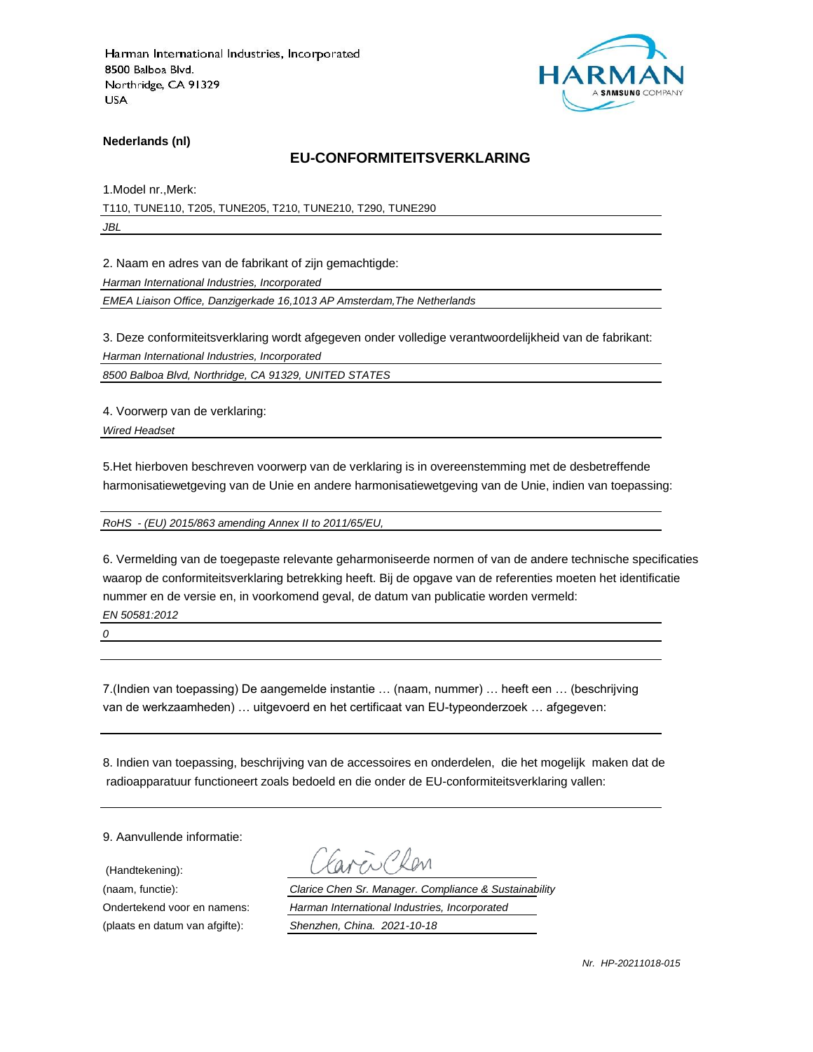

**Nederlands (nl)**

#### **EU-CONFORMITEITSVERKLARING**

1.Model nr.,Merk: T110, TUNE110, T205, TUNE205, T210, TUNE210, T290, TUNE290

*JBL*

2. Naam en adres van de fabrikant of zijn gemachtigde:

*Harman International Industries, Incorporated*

*EMEA Liaison Office, Danzigerkade 16,1013 AP Amsterdam,The Netherlands*

3. Deze conformiteitsverklaring wordt afgegeven onder volledige verantwoordelijkheid van de fabrikant:

*Harman International Industries, Incorporated*

*8500 Balboa Blvd, Northridge, CA 91329, UNITED STATES*

4. Voorwerp van de verklaring:

*Wired Headset*

5.Het hierboven beschreven voorwerp van de verklaring is in overeenstemming met de desbetreffende harmonisatiewetgeving van de Unie en andere harmonisatiewetgeving van de Unie, indien van toepassing:

*RoHS - (EU) 2015/863 amending Annex II to 2011/65/EU,*

6. Vermelding van de toegepaste relevante geharmoniseerde normen of van de andere technische specificaties waarop de conformiteitsverklaring betrekking heeft. Bij de opgave van de referenties moeten het identificatie nummer en de versie en, in voorkomend geval, de datum van publicatie worden vermeld: *EN 50581:2012*

*0*

7.(Indien van toepassing) De aangemelde instantie … (naam, nummer) … heeft een … (beschrijving van de werkzaamheden) … uitgevoerd en het certificaat van EU-typeonderzoek … afgegeven:

8. Indien van toepassing, beschrijving van de accessoires en onderdelen, die het mogelijk maken dat de radioapparatuur functioneert zoals bedoeld en die onder de EU-conformiteitsverklaring vallen:

9. Aanvullende informatie:

(Handtekening):

(naam, functie): *Clarice Chen Sr. Manager. Compliance & Sustainability* Ondertekend voor en namens: *Harman International Industries, Incorporated* (plaats en datum van afgifte): *Shenzhen, China. 2021-10-18*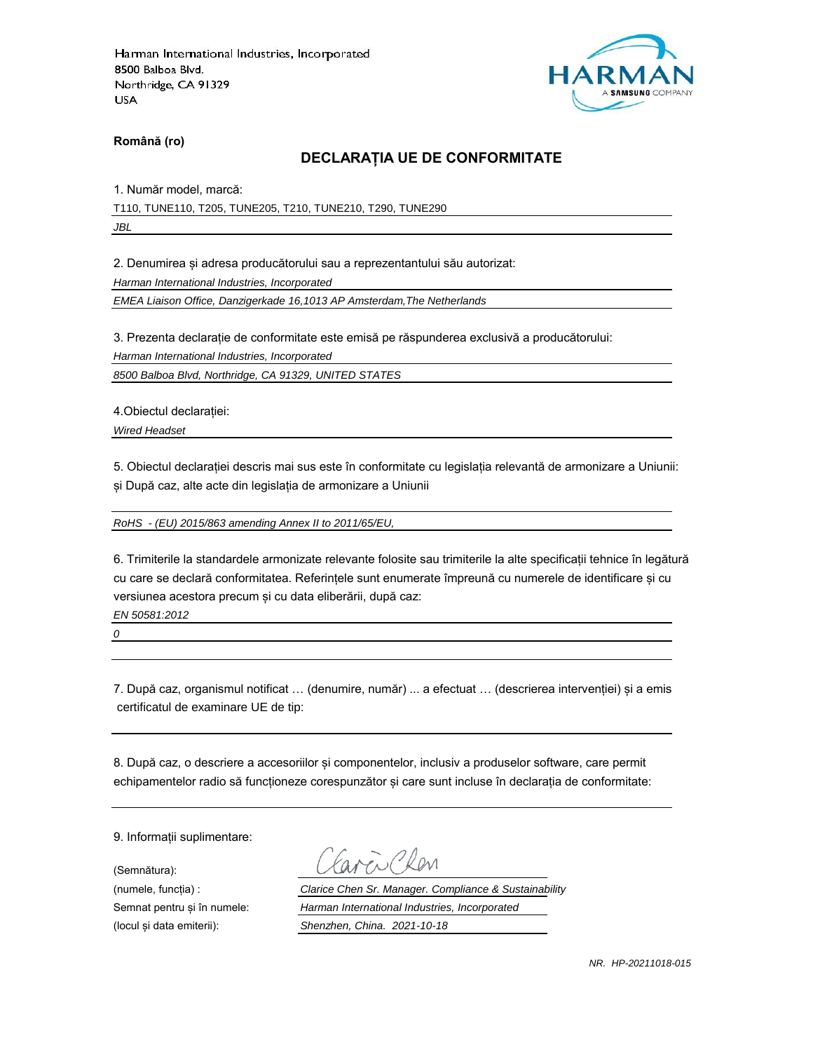

**Română (ro)**

### **DECLARAȚIA UE DE CONFORMITATE**

1. Număr model, marcă:

T110, TUNE110, T205, TUNE205, T210, TUNE210, T290, TUNE290

*JBL*

2. Denumirea și adresa producătorului sau a reprezentantului său autorizat:

*Harman International Industries, Incorporated*

*EMEA Liaison Office, Danzigerkade 16,1013 AP Amsterdam,The Netherlands*

3. Prezenta declarație de conformitate este emisă pe răspunderea exclusivă a producătorului:

*Harman International Industries, Incorporated*

*8500 Balboa Blvd, Northridge, CA 91329, UNITED STATES*

4.Obiectul declarației:

*Wired Headset*

5. Obiectul declarației descris mai sus este în conformitate cu legislația relevantă de armonizare a Uniunii: și După caz, alte acte din legislația de armonizare a Uniunii

*RoHS - (EU) 2015/863 amending Annex II to 2011/65/EU,*

6. Trimiterile la standardele armonizate relevante folosite sau trimiterile la alte specificații tehnice în legătură cu care se declară conformitatea. Referințele sunt enumerate împreună cu numerele de identificare și cu versiunea acestora precum și cu data eliberării, după caz:

*EN 50581:2012*

*0*

7. După caz, organismul notificat … (denumire, număr) ... a efectuat … (descrierea intervenției) și a emis certificatul de examinare UE de tip:

8. După caz, o descriere a accesoriilor și componentelor, inclusiv a produselor software, care permit echipamentelor radio să funcționeze corespunzător și care sunt incluse în declarația de conformitate:

9. Informații suplimentare:

(Semnătura):

(numele, funcția) : *Clarice Chen Sr. Manager. Compliance & Sustainability* Semnat pentru și în numele: *Harman International Industries, Incorporated* (locul și data emiterii): *Shenzhen, China. 2021-10-18*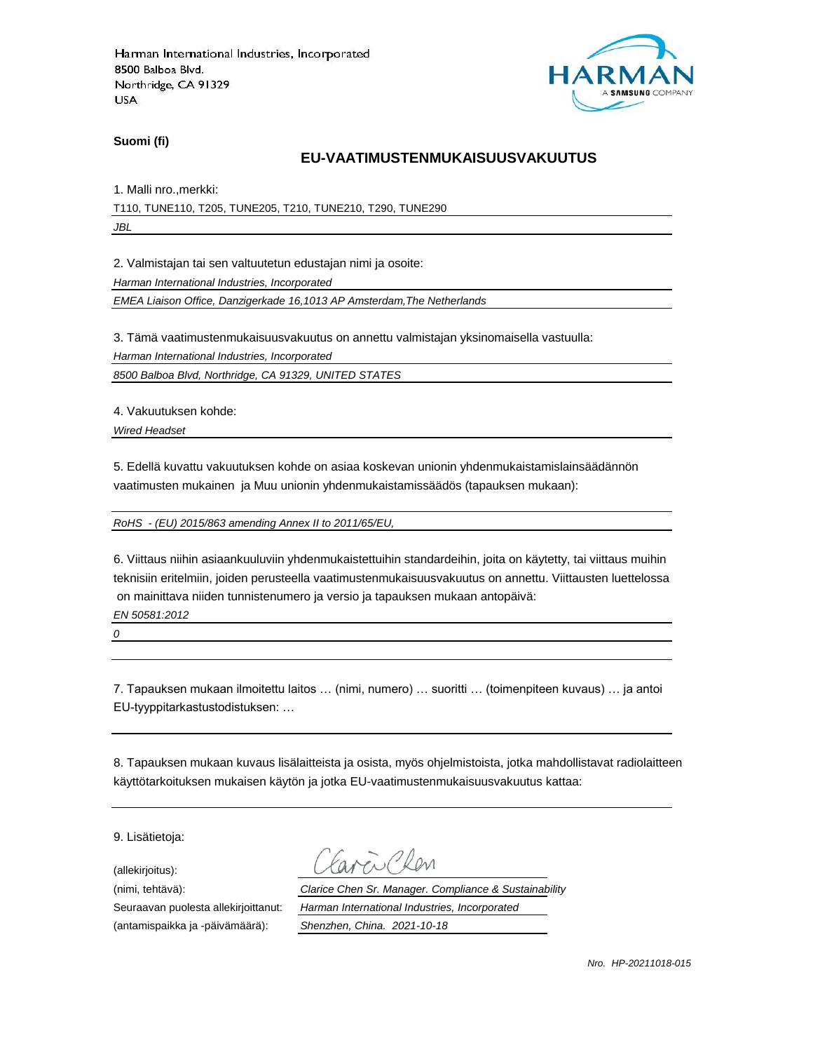

**Suomi (fi)**

### **EU-VAATIMUSTENMUKAISUUSVAKUUTUS**

1. Malli nro.,merkki:

T110, TUNE110, T205, TUNE205, T210, TUNE210, T290, TUNE290 *JBL*

2. Valmistajan tai sen valtuutetun edustajan nimi ja osoite:

*Harman International Industries, Incorporated*

*EMEA Liaison Office, Danzigerkade 16,1013 AP Amsterdam,The Netherlands*

3. Tämä vaatimustenmukaisuusvakuutus on annettu valmistajan yksinomaisella vastuulla:

*Harman International Industries, Incorporated*

*8500 Balboa Blvd, Northridge, CA 91329, UNITED STATES*

4. Vakuutuksen kohde:

*Wired Headset*

5. Edellä kuvattu vakuutuksen kohde on asiaa koskevan unionin yhdenmukaistamislainsäädännön vaatimusten mukainen ja Muu unionin yhdenmukaistamissäädös (tapauksen mukaan):

*RoHS - (EU) 2015/863 amending Annex II to 2011/65/EU,*

6. Viittaus niihin asiaankuuluviin yhdenmukaistettuihin standardeihin, joita on käytetty, tai viittaus muihin teknisiin eritelmiin, joiden perusteella vaatimustenmukaisuusvakuutus on annettu. Viittausten luettelossa on mainittava niiden tunnistenumero ja versio ja tapauksen mukaan antopäivä:

*EN 50581:2012*

*0*

7. Tapauksen mukaan ilmoitettu laitos … (nimi, numero) … suoritti … (toimenpiteen kuvaus) … ja antoi EU-tyyppitarkastustodistuksen: …

8. Tapauksen mukaan kuvaus lisälaitteista ja osista, myös ohjelmistoista, jotka mahdollistavat radiolaitteen käyttötarkoituksen mukaisen käytön ja jotka EU-vaatimustenmukaisuusvakuutus kattaa:

9. Lisätietoja:

(allekirjoitus):

(antamispaikka ja -päivämäärä): *Shenzhen, China. 2021-10-18*

(nimi, tehtävä): *Clarice Chen Sr. Manager. Compliance & Sustainability* Seuraavan puolesta allekirjoittanut: *Harman International Industries, Incorporated*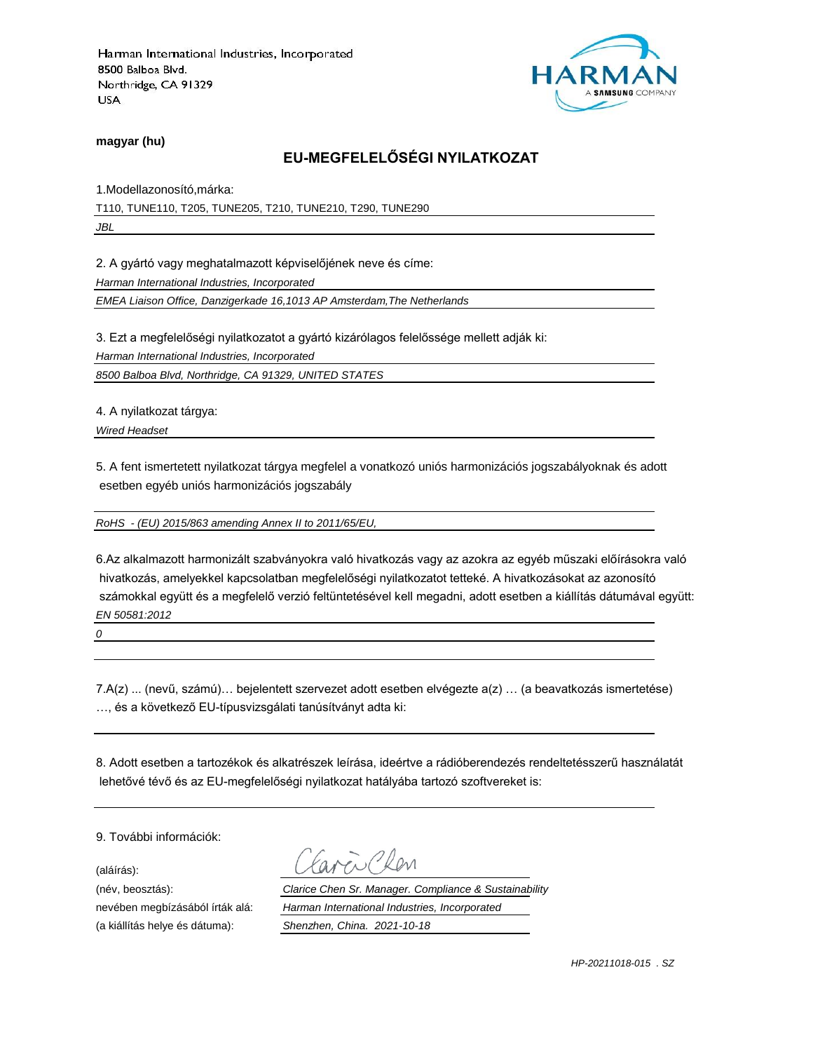

**magyar (hu)**

# **EU-MEGFELELŐSÉGI NYILATKOZAT**

1.Modellazonosító,márka:

T110, TUNE110, T205, TUNE205, T210, TUNE210, T290, TUNE290 *JBL*

2. A gyártó vagy meghatalmazott képviselőjének neve és címe:

*Harman International Industries, Incorporated*

*EMEA Liaison Office, Danzigerkade 16,1013 AP Amsterdam,The Netherlands*

3. Ezt a megfelelőségi nyilatkozatot a gyártó kizárólagos felelőssége mellett adják ki:

*Harman International Industries, Incorporated*

*8500 Balboa Blvd, Northridge, CA 91329, UNITED STATES*

4. A nyilatkozat tárgya:

*Wired Headset*

5. A fent ismertetett nyilatkozat tárgya megfelel a vonatkozó uniós harmonizációs jogszabályoknak és adott esetben egyéb uniós harmonizációs jogszabály

*RoHS - (EU) 2015/863 amending Annex II to 2011/65/EU,*

6.Az alkalmazott harmonizált szabványokra való hivatkozás vagy az azokra az egyéb műszaki előírásokra való hivatkozás, amelyekkel kapcsolatban megfelelőségi nyilatkozatot tetteké. A hivatkozásokat az azonosító számokkal együtt és a megfelelő verzió feltüntetésével kell megadni, adott esetben a kiállítás dátumával együtt: *EN 50581:2012*

*0*

7.A(z) ... (nevű, számú)… bejelentett szervezet adott esetben elvégezte a(z) … (a beavatkozás ismertetése) …, és a következő EU-típusvizsgálati tanúsítványt adta ki:

8. Adott esetben a tartozékok és alkatrészek leírása, ideértve a rádióberendezés rendeltetésszerű használatát lehetővé tévő és az EU-megfelelőségi nyilatkozat hatályába tartozó szoftvereket is:

9. További információk:

(aláírás):

(a kiállítás helye és dátuma): *Shenzhen, China. 2021-10-18*

(név, beosztás): *Clarice Chen Sr. Manager. Compliance & Sustainability* nevében megbízásából írták alá: *Harman International Industries, Incorporated*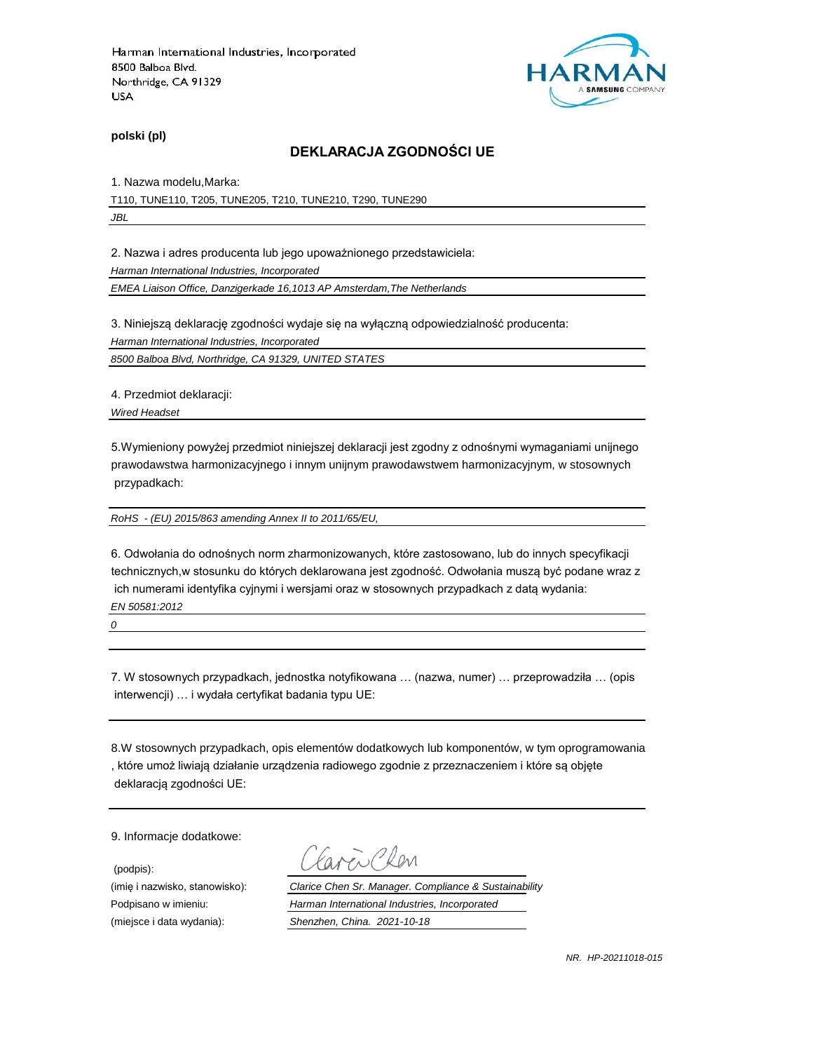

**polski (pl)**

#### **DEKLARACJA ZGODNOŚCI UE**

1. Nazwa modelu,Marka:

T110, TUNE110, T205, TUNE205, T210, TUNE210, T290, TUNE290 *JBL*

2. Nazwa i adres producenta lub jego upoważnionego przedstawiciela:

*Harman International Industries, Incorporated*

*EMEA Liaison Office, Danzigerkade 16,1013 AP Amsterdam,The Netherlands*

3. Niniejszą deklarację zgodności wydaje się na wyłączną odpowiedzialność producenta:

*Harman International Industries, Incorporated*

*8500 Balboa Blvd, Northridge, CA 91329, UNITED STATES*

4. Przedmiot deklaracji:

*Wired Headset*

5.Wymieniony powyżej przedmiot niniejszej deklaracji jest zgodny z odnośnymi wymaganiami unijnego prawodawstwa harmonizacyjnego i innym unijnym prawodawstwem harmonizacyjnym, w stosownych przypadkach:

*RoHS - (EU) 2015/863 amending Annex II to 2011/65/EU,*

6. Odwołania do odnośnych norm zharmonizowanych, które zastosowano, lub do innych specyfikacji technicznych,w stosunku do których deklarowana jest zgodność. Odwołania muszą być podane wraz z ich numerami identyfika cyjnymi i wersjami oraz w stosownych przypadkach z datą wydania: *EN 50581:2012*

*0*

7. W stosownych przypadkach, jednostka notyfikowana … (nazwa, numer) … przeprowadziła … (opis interwencji) … i wydała certyfikat badania typu UE:

8.W stosownych przypadkach, opis elementów dodatkowych lub komponentów, w tym oprogramowania , które umoż liwiają działanie urządzenia radiowego zgodnie z przeznaczeniem i które są objęte deklaracją zgodności UE:

9. Informacje dodatkowe:

(podpis):

Plan

(imię i nazwisko, stanowisko): *Clarice Chen Sr. Manager. Compliance & Sustainability* Podpisano w imieniu: *Harman International Industries, Incorporated* (miejsce i data wydania): *Shenzhen, China. 2021-10-18*

*NR. HP-20211018-015*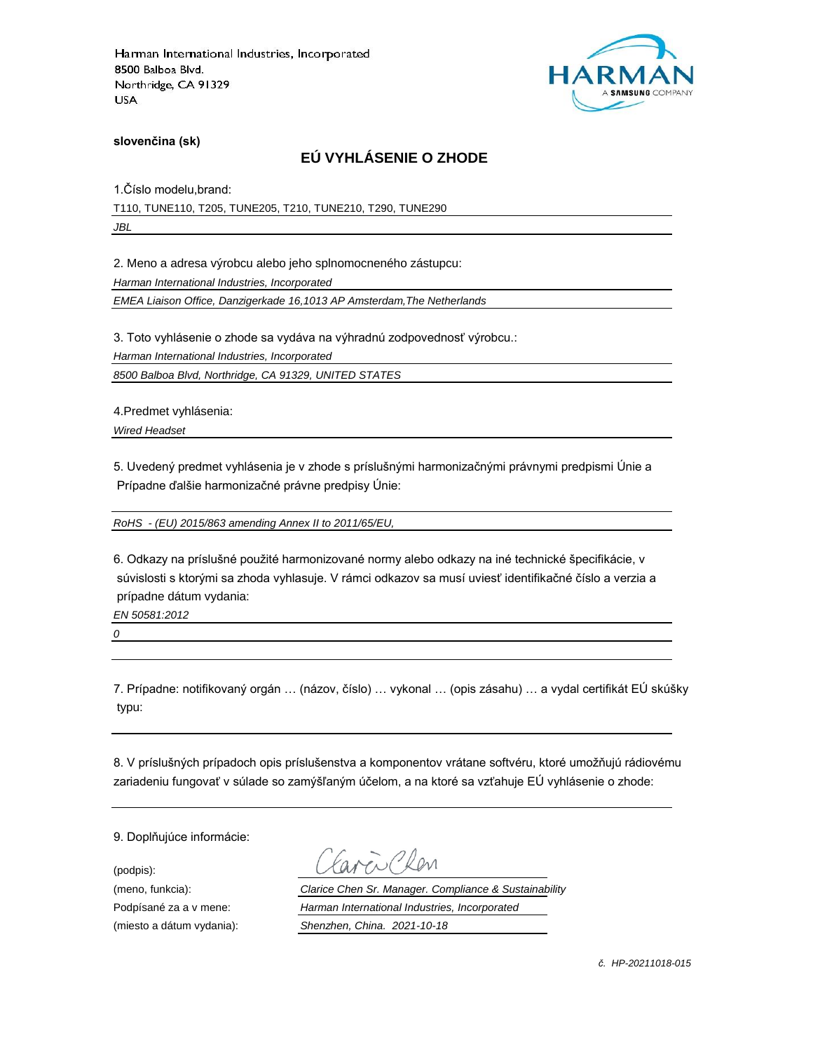

**slovenčina (sk)**

# **EÚ VYHLÁSENIE O ZHODE**

1.Číslo modelu,brand:

T110, TUNE110, T205, TUNE205, T210, TUNE210, T290, TUNE290

*JBL*

2. Meno a adresa výrobcu alebo jeho splnomocneného zástupcu:

*Harman International Industries, Incorporated*

*EMEA Liaison Office, Danzigerkade 16,1013 AP Amsterdam,The Netherlands*

3. Toto vyhlásenie o zhode sa vydáva na výhradnú zodpovednosť výrobcu.:

*Harman International Industries, Incorporated*

*8500 Balboa Blvd, Northridge, CA 91329, UNITED STATES*

4.Predmet vyhlásenia:

*Wired Headset*

5. Uvedený predmet vyhlásenia je v zhode s príslušnými harmonizačnými právnymi predpismi Únie a Prípadne ďalšie harmonizačné právne predpisy Únie:

*RoHS - (EU) 2015/863 amending Annex II to 2011/65/EU,*

6. Odkazy na príslušné použité harmonizované normy alebo odkazy na iné technické špecifikácie, v súvislosti s ktorými sa zhoda vyhlasuje. V rámci odkazov sa musí uviesť identifikačné číslo a verzia a prípadne dátum vydania:

*EN 50581:2012*

*0*

7. Prípadne: notifikovaný orgán … (názov, číslo) … vykonal … (opis zásahu) … a vydal certifikát EÚ skúšky typu:

8. V príslušných prípadoch opis príslušenstva a komponentov vrátane softvéru, ktoré umožňujú rádiovému zariadeniu fungovať v súlade so zamýšľaným účelom, a na ktoré sa vzťahuje EÚ vyhlásenie o zhode:

9. Doplňujúce informácie:

(podpis):

(meno, funkcia): *Clarice Chen Sr. Manager. Compliance & Sustainability* Podpísané za a v mene: *Harman International Industries, Incorporated* (miesto a dátum vydania): *Shenzhen, China. 2021-10-18*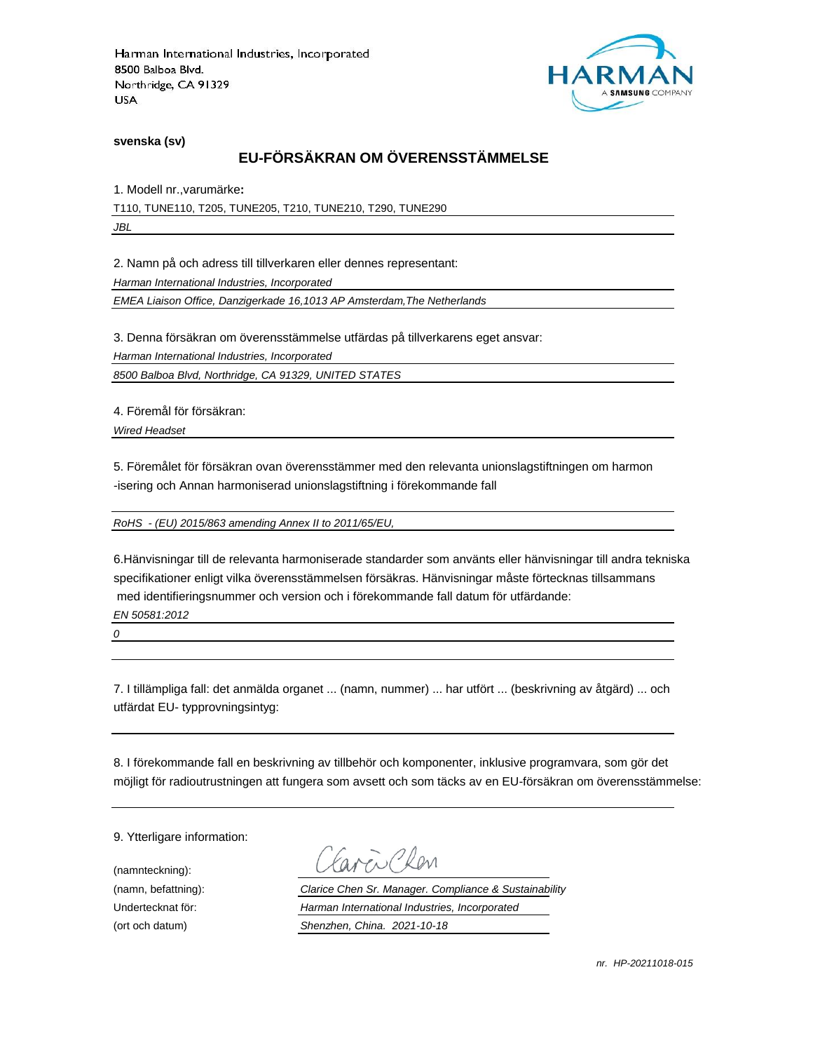

**svenska (sv)**

# **EU-FÖRSÄKRAN OM ÖVERENSSTÄMMELSE**

1. Modell nr.,varumärke**:**

T110, TUNE110, T205, TUNE205, T210, TUNE210, T290, TUNE290

*JBL*

2. Namn på och adress till tillverkaren eller dennes representant:

*Harman International Industries, Incorporated*

*EMEA Liaison Office, Danzigerkade 16,1013 AP Amsterdam,The Netherlands*

3. Denna försäkran om överensstämmelse utfärdas på tillverkarens eget ansvar:

*Harman International Industries, Incorporated*

*8500 Balboa Blvd, Northridge, CA 91329, UNITED STATES*

4. Föremål för försäkran:

*Wired Headset*

5. Föremålet för försäkran ovan överensstämmer med den relevanta unionslagstiftningen om harmon -isering och Annan harmoniserad unionslagstiftning i förekommande fall

*RoHS - (EU) 2015/863 amending Annex II to 2011/65/EU,*

6.Hänvisningar till de relevanta harmoniserade standarder som använts eller hänvisningar till andra tekniska specifikationer enligt vilka överensstämmelsen försäkras. Hänvisningar måste förtecknas tillsammans med identifieringsnummer och version och i förekommande fall datum för utfärdande:

*EN 50581:2012*

*0*

7. I tillämpliga fall: det anmälda organet ... (namn, nummer) ... har utfört ... (beskrivning av åtgärd) ... och utfärdat EU- typprovningsintyg:

8. I förekommande fall en beskrivning av tillbehör och komponenter, inklusive programvara, som gör det möjligt för radioutrustningen att fungera som avsett och som täcks av en EU-försäkran om överensstämmelse:

9. Ytterligare information:

(namnteckning):

EN Plen

(namn, befattning): *Clarice Chen Sr. Manager. Compliance & Sustainability* Undertecknat för: *Harman International Industries, Incorporated* (ort och datum) *Shenzhen, China. 2021-10-18*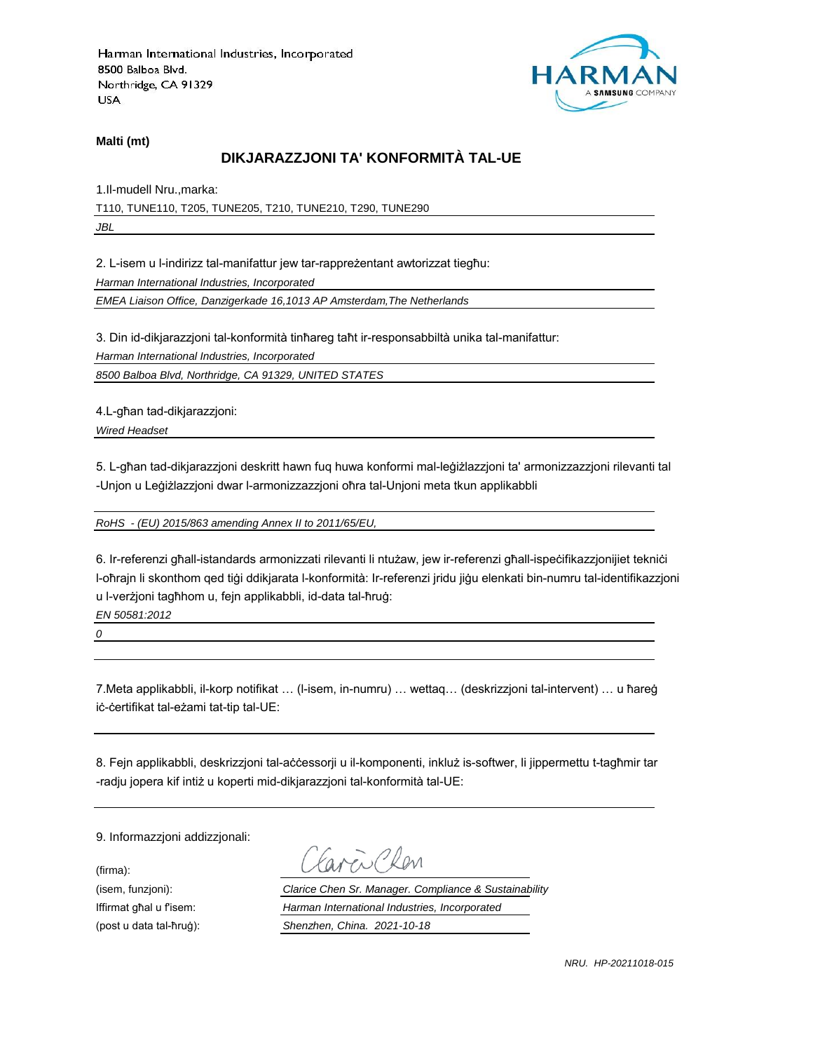

**Malti (mt)**

# **DIKJARAZZJONI TA' KONFORMITÀ TAL-UE**

1.Il-mudell Nru.,marka: T110, TUNE110, T205, TUNE205, T210, TUNE210, T290, TUNE290 *JBL*

2. L-isem u l-indirizz tal-manifattur jew tar-rappreżentant awtorizzat tiegħu: *Harman International Industries, Incorporated*

*EMEA Liaison Office, Danzigerkade 16,1013 AP Amsterdam,The Netherlands*

3. Din id-dikjarazzjoni tal-konformità tinħareg taħt ir-responsabbiltà unika tal-manifattur:

*Harman International Industries, Incorporated*

*8500 Balboa Blvd, Northridge, CA 91329, UNITED STATES*

4.L-għan tad-dikjarazzjoni:

*Wired Headset*

5. L-għan tad-dikjarazzjoni deskritt hawn fuq huwa konformi mal-leġiżlazzjoni ta' armonizzazzjoni rilevanti tal -Unjon u Leġiżlazzjoni dwar l-armonizzazzjoni oħra tal-Unjoni meta tkun applikabbli

*RoHS - (EU) 2015/863 amending Annex II to 2011/65/EU,*

6. Ir-referenzi għall-istandards armonizzati rilevanti li ntużaw, jew ir-referenzi għall-ispeċifikazzjonijiet tekniċi l-oħrajn li skonthom qed tiġi ddikjarata l-konformità: Ir-referenzi jridu jiġu elenkati bin-numru tal-identifikazzjoni u l-verżjoni tagħhom u, fejn applikabbli, id-data tal-ħruġ:

*EN 50581:2012*

*0*

7.Meta applikabbli, il-korp notifikat … (l-isem, in-numru) … wettaq… (deskrizzjoni tal-intervent) … u ħareġ iċ-ċertifikat tal-eżami tat-tip tal-UE:

8. Fejn applikabbli, deskrizzjoni tal-aċċessorji u il-komponenti, inkluż is-softwer, li jippermettu t-tagħmir tar -radju jopera kif intiż u koperti mid-dikjarazzjoni tal-konformità tal-UE:

9. Informazzjoni addizzjonali:

(firma):

EN CRON

(isem, funzjoni): *Clarice Chen Sr. Manager. Compliance & Sustainability* Iffirmat għal u f'isem: *Harman International Industries, Incorporated* (post u data tal-ħruġ): *Shenzhen, China. 2021-10-18*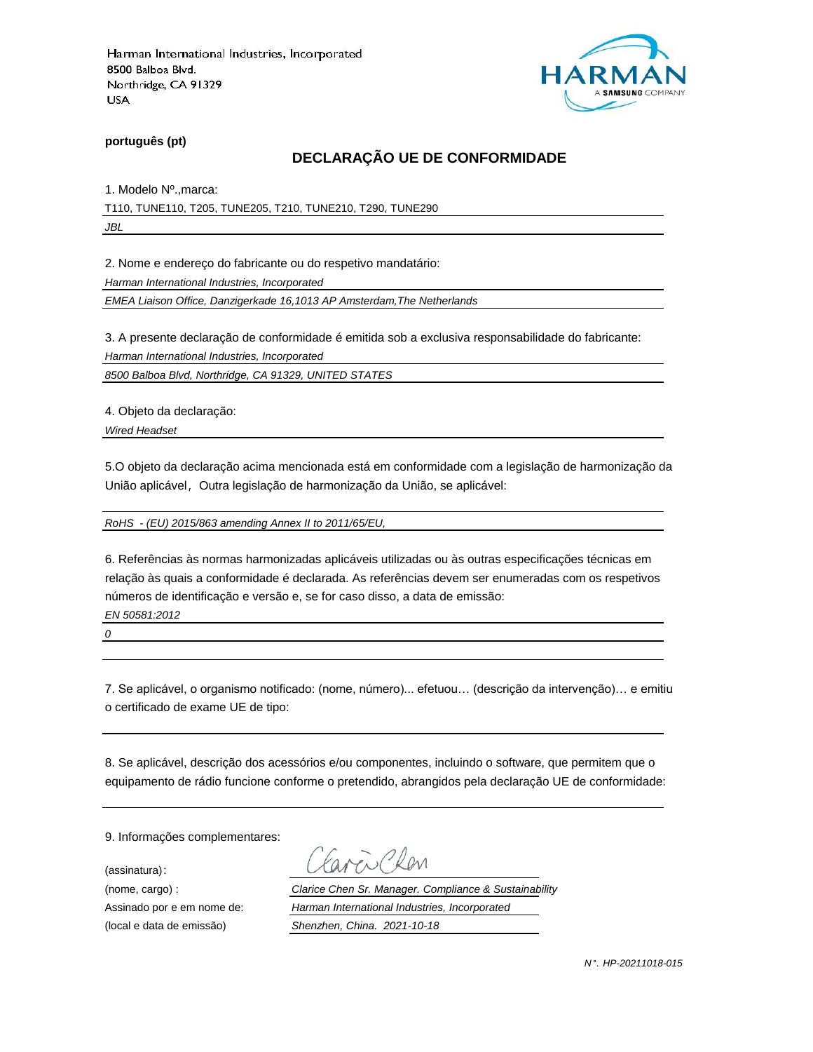

**português (pt)**

# **DECLARAÇÃO UE DE CONFORMIDADE**

1. Modelo Nº.,marca:

T110, TUNE110, T205, TUNE205, T210, TUNE210, T290, TUNE290

*JBL*

2. Nome e endereço do fabricante ou do respetivo mandatário:

*Harman International Industries, Incorporated*

*EMEA Liaison Office, Danzigerkade 16,1013 AP Amsterdam,The Netherlands*

3. A presente declaração de conformidade é emitida sob a exclusiva responsabilidade do fabricante:

*Harman International Industries, Incorporated*

*8500 Balboa Blvd, Northridge, CA 91329, UNITED STATES*

4. Objeto da declaração:

*Wired Headset*

5.O objeto da declaração acima mencionada está em conformidade com a legislação de harmonização da União aplicável, Outra legislação de harmonização da União, se aplicável:

*RoHS - (EU) 2015/863 amending Annex II to 2011/65/EU,*

6. Referências às normas harmonizadas aplicáveis utilizadas ou às outras especificações técnicas em relação às quais a conformidade é declarada. As referências devem ser enumeradas com os respetivos números de identificação e versão e, se for caso disso, a data de emissão:

*EN 50581:2012*

*0*

7. Se aplicável, o organismo notificado: (nome, número)... efetuou… (descrição da intervenção)… e emitiu o certificado de exame UE de tipo:

8. Se aplicável, descrição dos acessórios e/ou componentes, incluindo o software, que permitem que o equipamento de rádio funcione conforme o pretendido, abrangidos pela declaração UE de conformidade:

9. Informações complementares:

(assinatura):

Clen

(nome, cargo) : *Clarice Chen Sr. Manager. Compliance & Sustainability* Assinado por e em nome de: *Harman International Industries, Incorporated* (local e data de emissão) *Shenzhen, China. 2021-10-18*